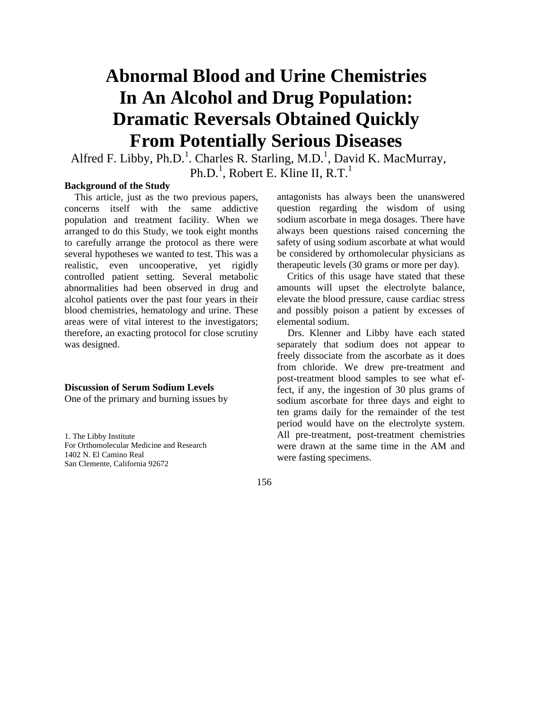# **Abnormal Blood and Urine Chemistries In An Alcohol and Drug Population: Dramatic Reversals Obtained Quickly From Potentially Serious Diseases**

Alfred F. Libby, Ph.D.<sup>1</sup>. Charles R. Starling, M.D.<sup>1</sup>, David K. MacMurray, Ph.D.<sup>1</sup>, Robert E. Kline II, R.T.<sup>1</sup>

#### **Background of the Study**

This article, just as the two previous papers, concerns itself with the same addictive population and treatment facility. When we arranged to do this Study, we took eight months to carefully arrange the protocol as there were several hypotheses we wanted to test. This was a realistic, even uncooperative, yet rigidly controlled patient setting. Several metabolic abnormalities had been observed in drug and alcohol patients over the past four years in their blood chemistries, hematology and urine. These areas were of vital interest to the investigators; therefore, an exacting protocol for close scrutiny was designed.

#### **Discussion of Serum Sodium Levels**

One of the primary and burning issues by

1. The Libby Institute For Orthomolecular Medicine and Research 1402 N. El Camino Real San Clemente, California 92672

antagonists has always been the unanswered question regarding the wisdom of using sodium ascorbate in mega dosages. There have always been questions raised concerning the safety of using sodium ascorbate at what would be considered by orthomolecular physicians as therapeutic levels (30 grams or more per day).

Critics of this usage have stated that these amounts will upset the electrolyte balance, elevate the blood pressure, cause cardiac stress and possibly poison a patient by excesses of elemental sodium.

Drs. Klenner and Libby have each stated separately that sodium does not appear to freely dissociate from the ascorbate as it does from chloride. We drew pre-treatment and post-treatment blood samples to see what effect, if any, the ingestion of 30 plus grams of sodium ascorbate for three days and eight to ten grams daily for the remainder of the test period would have on the electrolyte system. All pre-treatment, post-treatment chemistries were drawn at the same time in the AM and were fasting specimens.

156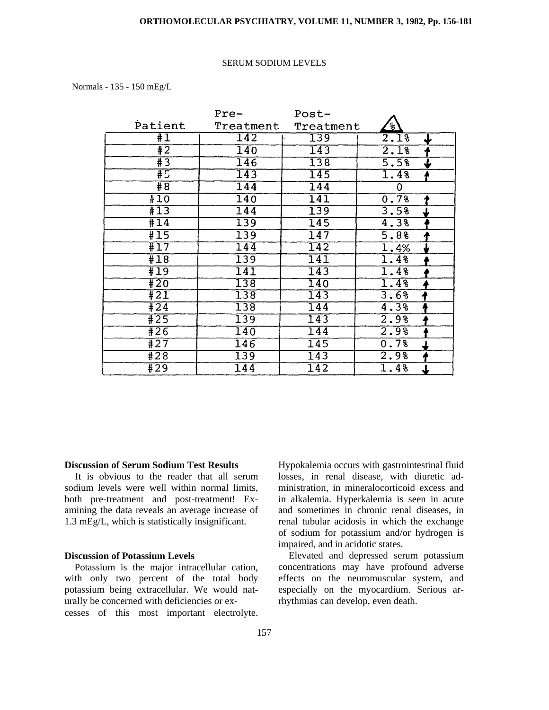#### **ORTHOMOLECULAR PSYCHIATRY, VOLUME 11, NUMBER 3, 1982, Pp. 156-181**

#### SERUM SODIUM LEVELS

#### Normals - 135 - 150 mEg/L

|                  | Pre-             | Post-            |                                 |
|------------------|------------------|------------------|---------------------------------|
| Patient          | Treatment        | Treatment        | $\frac{1}{8}$                   |
| #I               | 142              | 139              | 2.1%<br>╈                       |
| #2               | 140              | $\overline{143}$ | 2.1%                            |
| #3               | 146              | 138              | 5.5%<br>↓                       |
| #5               | 143              | 145              | 1.4%                            |
| #8               | $\overline{144}$ | $\overline{144}$ | 0                               |
| #10.             | $\overline{140}$ | $\overline{141}$ | 0.7%                            |
| #13              | 144              | 139              | 3.58<br>↓                       |
| #14              | 139              | $\overline{145}$ | 4.3%                            |
| $\overline{115}$ | 139              | $\overline{147}$ | 5.8%<br>T                       |
| #17              | 144              | 142              | $\overline{1.4\%}$              |
| #18              | $\overline{139}$ | $\overline{141}$ | 1.4%                            |
| #19              | $\overline{141}$ | $\overline{143}$ | 1.4%                            |
| $\overline{420}$ | $\overline{138}$ | $\overline{140}$ | 1.4%                            |
| $\overline{11}$  | $\overline{138}$ | 143              | 3.6%<br>7                       |
| #24              | $\overline{138}$ | 144              | 4.3%                            |
| #25              | 139              | $\overline{143}$ | 2.98                            |
| #26              | $\overline{140}$ | $\overline{144}$ | 2.9%                            |
| #27              | 146              | 145              | 0.7%                            |
| #28              | 139              | $\overline{143}$ | 2.9%                            |
| $\overline{1}29$ | $\overline{144}$ | 142              | 1.4%<br>$\overline{\mathbf{r}}$ |

#### **Discussion of Serum Sodium Test Results**

It is obvious to the reader that all serum sodium levels were well within normal limits, both pre-treatment and post-treatment! Examining the data reveals an average increase of 1.3 mEg/L, which is statistically insignificant.

#### **Discussion of Potassium Levels**

Potassium is the major intracellular cation, with only two percent of the total body potassium being extracellular. We would naturally be concerned with deficiencies or excesses of this most important electrolyte. Hypokalemia occurs with gastrointestinal fluid losses, in renal disease, with diuretic administration, in mineralocorticoid excess and in alkalemia. Hyperkalemia is seen in acute and sometimes in chronic renal diseases, in renal tubular acidosis in which the exchange of sodium for potassium and/or hydrogen is impaired, and in acidotic states.

Elevated and depressed serum potassium concentrations may have profound adverse effects on the neuromuscular system, and especially on the myocardium. Serious arrhythmias can develop, even death.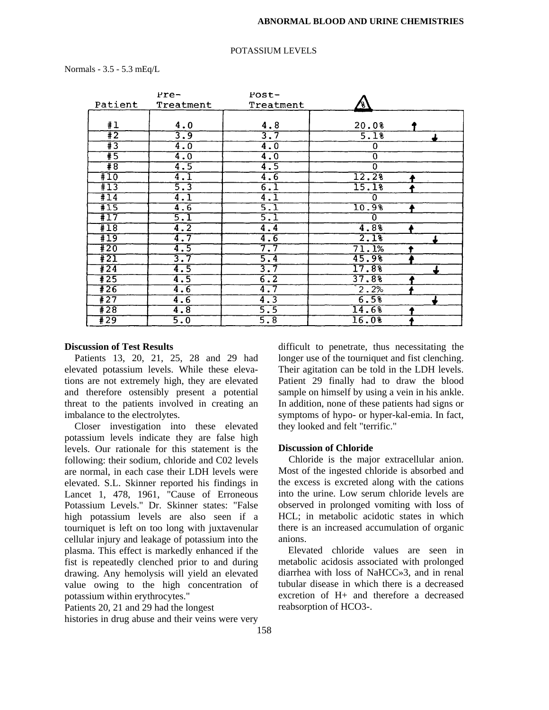#### POTASSIUM LEVELS

Normals - 3.5 - 5.3 mEq/L

|                  | rre-                            | $Post-$          |                |  |
|------------------|---------------------------------|------------------|----------------|--|
| Patient          | Treatment                       | Treatment        | ا ع            |  |
|                  |                                 |                  |                |  |
| #1               | 4.0                             | 4.8              | 20.0%          |  |
| #2               | 3.9                             | $\overline{3.7}$ | 5.1%           |  |
| $\overline{13}$  | $\overline{4.0}$                | $\overline{4.0}$ | $\overline{0}$ |  |
| $\overline{15}$  | $\overline{4.0}$                | $\overline{4.0}$ | Ō              |  |
| $\overline{8}$   | $\overline{4.5}$                | 4.5              | 0              |  |
| #10              | $\overline{4}$ . $\overline{1}$ | 4.6              | 12.2%          |  |
| #13              | 5.3                             | $\overline{6.1}$ | 15.1%          |  |
| #14              | $\overline{4.1}$                | $\overline{4.1}$ | 0              |  |
| #15              | 4.6                             | $\overline{5.1}$ | 10.9%          |  |
| #17              | 5.1                             | 5.1              | 0              |  |
| #18              | $\overline{4.2}$                | $\overline{4.4}$ | 4.8%           |  |
| $\overline{19}$  | $\overline{4.7}$                | 4.6              | 2.1%           |  |
| #20              | 4.5                             | 7.7              | 71.1%          |  |
| #21              | $\overline{3.7}$                | 5.4              | 45.98          |  |
| #24              | $\overline{4.5}$                | 3.7              | 17.8%          |  |
| #25              | $\overline{4.5}$                | $\overline{6.2}$ | 37.88          |  |
| $\overline{426}$ | 4.6                             | $\overline{4.7}$ | 2.2%           |  |
| #27              | 4.6                             | $\overline{4.3}$ | 6.5%           |  |
| #28              | $\overline{4.8}$                | 5.5              | 14.68          |  |
| #29              | $\overline{5.0}$                | 5.8              | 16.08          |  |

#### **Discussion of Test Results**

Patients 13, 20, 21, 25, 28 and 29 had elevated potassium levels. While these elevations are not extremely high, they are elevated and therefore ostensibly present a potential threat to the patients involved in creating an imbalance to the electrolytes.

Closer investigation into these elevated potassium levels indicate they are false high levels. Our rationale for this statement is the following: their sodium, chloride and C02 levels are normal, in each case their LDH levels were elevated. S.L. Skinner reported his findings in Lancet 1, 478, 1961, "Cause of Erroneous Potassium Levels." Dr. Skinner states: "False high potassium levels are also seen if a tourniquet is left on too long with juxtavenular cellular injury and leakage of potassium into the plasma. This effect is markedly enhanced if the fist is repeatedly clenched prior to and during drawing. Any hemolysis will yield an elevated value owing to the high concentration of potassium within erythrocytes."

Patients 20, 21 and 29 had the longest

histories in drug abuse and their veins were very

difficult to penetrate, thus necessitating the longer use of the tourniquet and fist clenching. Their agitation can be told in the LDH levels. Patient 29 finally had to draw the blood sample on himself by using a vein in his ankle. In addition, none of these patients had signs or symptoms of hypo- or hyper-kal-emia. In fact, they looked and felt "terrific."

#### **Discussion of Chloride**

Chloride is the major extracellular anion. Most of the ingested chloride is absorbed and the excess is excreted along with the cations into the urine. Low serum chloride levels are observed in prolonged vomiting with loss of HCL; in metabolic acidotic states in which there is an increased accumulation of organic anions.

Elevated chloride values are seen in metabolic acidosis associated with prolonged diarrhea with loss of NaHCC»3, and in renal tubular disease in which there is a decreased excretion of H+ and therefore a decreased reabsorption of HCO3-.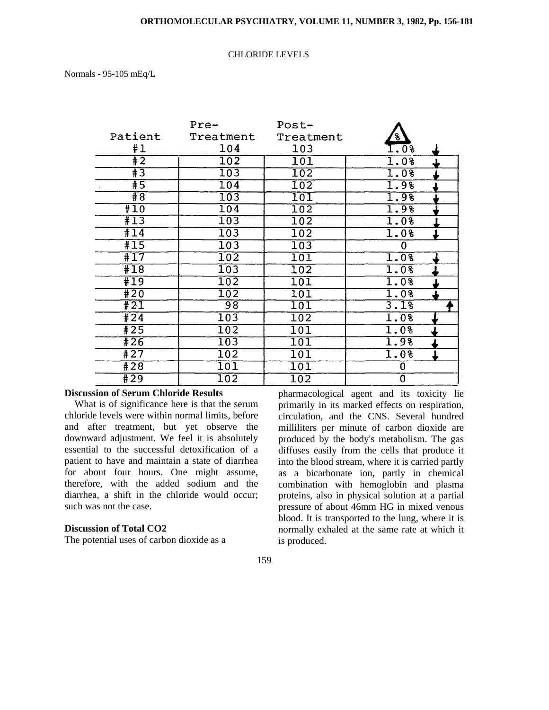#### CHLORIDE LEVELS

Normals - 95-105 mEq/L

|                  | Pre-             | $Post-$          |               |
|------------------|------------------|------------------|---------------|
| Patient          | Treatment        | Treatment        | $\frac{8}{6}$ |
| #1               | 104              | 103              | $1.0\%$       |
| $\overline{12}$  | $\overline{102}$ | 101              | 1.0%          |
| $\overline{13}$  | $\overline{103}$ | 102              | 1.0%          |
| $\overline{15}$  | 104              | $\overline{102}$ | 1.98          |
| $\overline{48}$  | 103              | 101              | 1.98          |
| #10              | 104              | 102              | 1.9%          |
| #13              | $\overline{103}$ | $\overline{102}$ | 1.08          |
| #14              | 103              | $\overline{102}$ | 1.0%          |
| #15              | $\overline{103}$ | $\overline{103}$ | 0             |
| #17              | 102              | 101              | 1.0%          |
| #18              | $\overline{103}$ | 102              | 1.0%          |
| $\overline{19}$  | 102              | 101              | 1.0%          |
| #20              | $\overline{102}$ | $\overline{101}$ | 1.0%          |
| $\overline{121}$ | $\overline{98}$  | 101              | 3.1%          |
| #24              | 103              | $\overline{102}$ | 1.0%          |
| $\sqrt{425}$     | 102              | 101              | 1.0%          |
| #26              | 103              | 101              | 1.98          |
| #27              | 102              | $\overline{101}$ | 1.0%          |
| #28              | $\overline{101}$ | 101              | 0             |
| $+29$            | $102\,$          | 102              | 0             |

#### **Discussion of Serum Chloride Results**

What is of significance here is that the serum chloride levels were within normal limits, before and after treatment, but yet observe the downward adjustment. We feel it is absolutely essential to the successful detoxification of a patient to have and maintain a state of diarrhea for about four hours. One might assume, therefore, with the added sodium and the diarrhea, a shift in the chloride would occur; such was not the case.

#### **Discussion of Total CO2**

The potential uses of carbon dioxide as a

pharmacological agent and its toxicity lie primarily in its marked effects on respiration, circulation, and the CNS. Several hundred milliliters per minute of carbon dioxide are produced by the body's metabolism. The gas diffuses easily from the cells that produce it into the blood stream, where it is carried partly as a bicarbonate ion, partly in chemical combination with hemoglobin and plasma proteins, also in physical solution at a partial pressure of about 46mm HG in mixed venous blood. It is transported to the lung, where it is normally exhaled at the same rate at which it is produced.

#### 159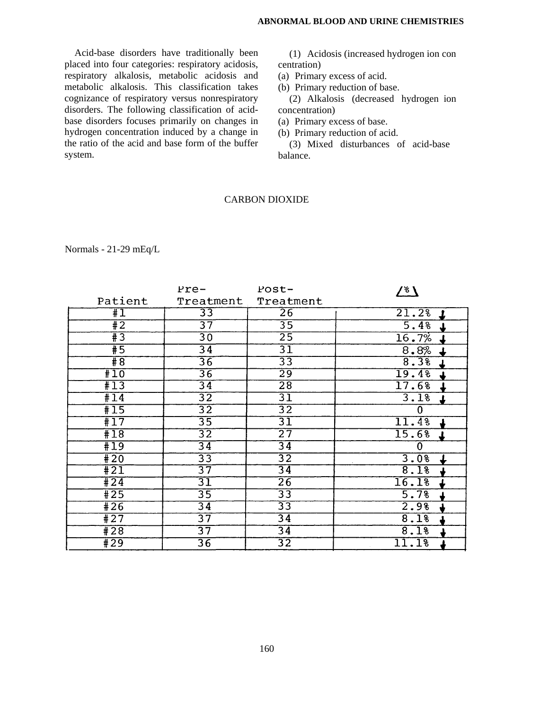Acid-base disorders have traditionally been placed into four categories: respiratory acidosis, respiratory alkalosis, metabolic acidosis and metabolic alkalosis. This classification takes cognizance of respiratory versus nonrespiratory disorders. The following classification of acidbase disorders focuses primarily on changes in hydrogen concentration induced by a change in the ratio of the acid and base form of the buffer system.

(1) Acidosis (increased hydrogen ion con centration)

(a) Primary excess of acid.

(b) Primary reduction of base.

(2) Alkalosis (decreased hydrogen ion concentration)

(a) Primary excess of base.

(b) Primary reduction of acid.

(3) Mixed disturbances of acid-base balance.

#### CARBON DIOXIDE

|                  | Pre-            | Post-           | <u>/ ہم</u>        |
|------------------|-----------------|-----------------|--------------------|
| Patient          | Treatment       | Treatment       |                    |
| #1               | 33              | $\overline{26}$ | 21.2%              |
| #2               | $\overline{37}$ | $\overline{35}$ | 5.4%               |
| $\overline{43}$  | $\overline{30}$ | $\overline{25}$ | 16.7%              |
| #5               | $\overline{34}$ | $\overline{31}$ | 8.8%               |
| #8               | $\overline{36}$ | $\overline{33}$ | 8.3%               |
| #10              | $\overline{36}$ | $\overline{29}$ | 19.4%              |
| #13              | $\overline{34}$ | $\overline{28}$ | $\overline{17.68}$ |
| $\overline{114}$ | $\overline{32}$ | $\overline{31}$ | 3.1%               |
| #15              | $\overline{32}$ | $\overline{32}$ | $\bf{0}$           |
| #17              | $\overline{35}$ | 31              | 11.4%              |
| #18              | $\overline{32}$ | $\overline{27}$ | 15.6%              |
| #19              | $\overline{34}$ | $\overline{34}$ | $\overline{0}$     |
| #20              | $\overline{33}$ | $\overline{32}$ | 3.0%               |
| $\overline{421}$ | $\overline{37}$ | $\overline{34}$ | 8.1%               |
| #24              | $\overline{31}$ | $\overline{26}$ | 16.1%              |
| #25              | $\overline{35}$ | $\overline{33}$ | 5.7%               |
| #26              | $\overline{34}$ | $\overline{33}$ | 2.98               |
| #27              | $\overline{37}$ | $\overline{34}$ | 8.1%               |
| #28              | $\overline{37}$ | $\overline{34}$ | 8.1%               |
| #29              | $\overline{36}$ | $\overline{32}$ | 11.1%              |

Normals - 21-29 mEq/L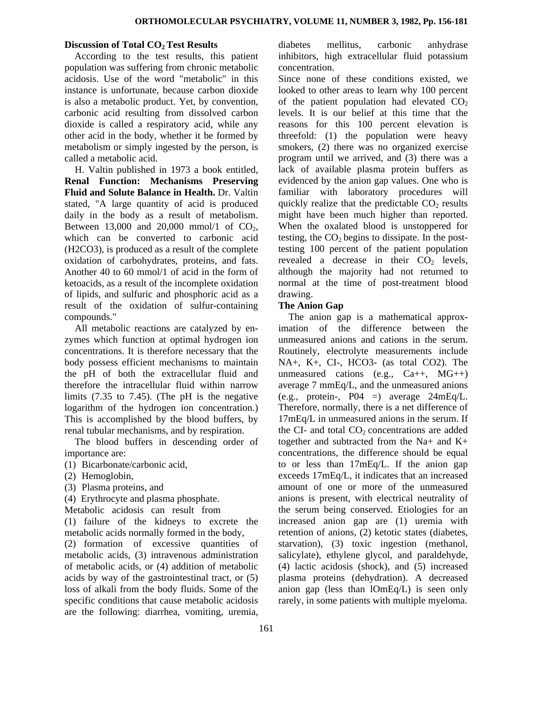#### **Discussion of Total CO<sub>2</sub> Test Results**

According to the test results, this patient population was suffering from chronic metabolic acidosis. Use of the word "metabolic" in this instance is unfortunate, because carbon dioxide is also a metabolic product. Yet, by convention, carbonic acid resulting from dissolved carbon dioxide is called a respiratory acid, while any other acid in the body, whether it be formed by metabolism or simply ingested by the person, is called a metabolic acid.

H. Valtin published in 1973 a book entitled, **Renal Function: Mechanisms Preserving Fluid and Solute Balance in Health.** Dr. Valtin stated, "A large quantity of acid is produced daily in the body as a result of metabolism. Between 13,000 and 20,000 mmol/1 of  $CO<sub>2</sub>$ , which can be converted to carbonic acid (H2CO3), is produced as a result of the complete oxidation of carbohydrates, proteins, and fats. Another 40 to 60 mmol/1 of acid in the form of ketoacids, as a result of the incomplete oxidation of lipids, and sulfuric and phosphoric acid as a result of the oxidation of sulfur-containing compounds."

All metabolic reactions are catalyzed by enzymes which function at optimal hydrogen ion concentrations. It is therefore necessary that the body possess efficient mechanisms to maintain the pH of both the extracellular fluid and therefore the intracellular fluid within narrow limits (7.35 to 7.45). (The pH is the negative logarithm of the hydrogen ion concentration.) This is accomplished by the blood buffers, by renal tubular mechanisms, and by respiration.

The blood buffers in descending order of importance are:

- (1) Bicarbonate/carbonic acid,
- (2) Hemoglobin,
- (3) Plasma proteins, and
- (4) Erythrocyte and plasma phosphate.

Metabolic acidosis can result from

(1) failure of the kidneys to excrete the metabolic acids normally formed in the body,

(2) formation of excessive quantities of metabolic acids, (3) intravenous administration of metabolic acids, or (4) addition of metabolic acids by way of the gastrointestinal tract, or (5) loss of alkali from the body fluids. Some of the specific conditions that cause metabolic acidosis are the following: diarrhea, vomiting, uremia, diabetes mellitus, carbonic anhydrase inhibitors, high extracellular fluid potassium concentration.

Since none of these conditions existed, we looked to other areas to learn why 100 percent of the patient population had elevated  $CO<sub>2</sub>$ levels. It is our belief at this time that the reasons for this 100 percent elevation is threefold: (1) the population were heavy smokers, (2) there was no organized exercise program until we arrived, and (3) there was a lack of available plasma protein buffers as evidenced by the anion gap values. One who is familiar with laboratory procedures will quickly realize that the predictable  $CO<sub>2</sub>$  results might have been much higher than reported. When the oxalated blood is unstoppered for testing, the  $CO<sub>2</sub>$  begins to dissipate. In the posttesting 100 percent of the patient population revealed a decrease in their  $CO<sub>2</sub>$  levels, although the majority had not returned to normal at the time of post-treatment blood drawing.

#### **The Anion Gap**

The anion gap is a mathematical approximation of the difference between the unmeasured anions and cations in the serum. Routinely, electrolyte measurements include NA+, K+, CI-, HCO3- (as total CO2). The unmeasured cations (e.g.,  $Ca++$ ,  $MG++$ ) average 7 mmEq/L, and the unmeasured anions (e.g., protein-,  $P04 =$ ) average  $24mEq/L$ . Therefore, normally, there is a net difference of 17mEq/L in unmeasured anions in the serum. If the CI- and total  $CO<sub>2</sub>$  concentrations are added together and subtracted from the Na+ and K+ concentrations, the difference should be equal to or less than 17mEq/L. If the anion gap exceeds 17mEq/L, it indicates that an increased amount of one or more of the unmeasured anions is present, with electrical neutrality of the serum being conserved. Etiologies for an increased anion gap are (1) uremia with retention of anions, (2) ketotic states (diabetes, starvation), (3) toxic ingestion (methanol, salicylate), ethylene glycol, and paraldehyde, (4) lactic acidosis (shock), and (5) increased plasma proteins (dehydration). A decreased anion gap (less than lOmEq/L) is seen only rarely, in some patients with multiple myeloma.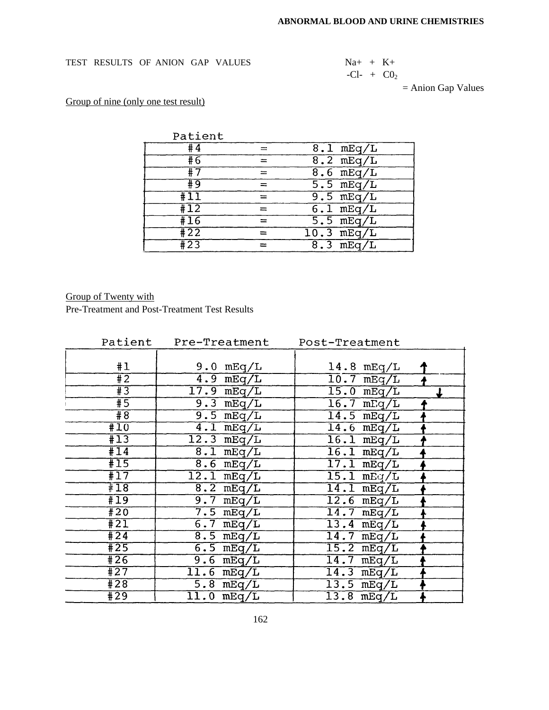#### TEST RESULTS OF ANION GAP VALUES

TEST RESULTS OF ANION GAP VALUES 
$$
Na + K + C0_2 + C1 - + C0_2
$$

= Anion Gap Values

# Group of nine (only one test result)

| Patient         |                      |
|-----------------|----------------------|
| #4              | $8.1$ mEq/L          |
| #6              | $8.2 \text{ mEq/L}$  |
| #7              | $8.6$ mEq/L          |
| # 9             | $5.5 \text{ mEq/L}$  |
| $\overline{11}$ | $9.5 \text{ mEq/L}$  |
| $\overline{11}$ | $6.1$ mEq/L          |
| #16             | $5.5$ mEq/L          |
| $\sqrt{422}$    | $10.3 \text{ mEq/L}$ |
| $\sqrt{423}$    | $8.3$ mEq/L          |

# Group of Twenty with

Pre-Treatment and Post-Treatment Test Results

| Patient          | Pre-Treatment       | Post-Treatment          |  |
|------------------|---------------------|-------------------------|--|
|                  |                     |                         |  |
| #1               | $9.0$ mEq/L         | $14.8 \text{ mEq/L}$    |  |
| $\overline{12}$  | $4.9$ mEq/L         | $10.7$ mEq/L            |  |
| $\overline{13}$  | $17.9$ mEq/L        | $15.0$ mEq/L            |  |
| #5               | $9.3$ mEq/L         | $\overline{16.7}$ mEq/L |  |
| $\overline{48}$  | $9.5$ mEq/L         | $14.5$ mEq/L            |  |
| #10              | $4.1$ mEq/L         | $14.6$ mEq/L            |  |
| #13              | $12.3$ mEq/L        | $16.1$ mEq/L            |  |
| $\overline{11}$  | $8.1$ mEq/L         | $16.1$ mEq/L            |  |
| $\overline{115}$ | $8.6$ mEq/L         | $17.1$ mEq/L            |  |
| $\overline{117}$ | $12.1$ mEq/L        | $15.1$ mEq/L            |  |
| $\pm 18$         | $8.2 \text{ mEq/L}$ | $14.1$ mEq/L            |  |
| #19              | $9.7$ mEq/L         | $12.6$ mEq/L            |  |
| #20              | $7.5 \text{ mEq/L}$ | $14.7 \text{ mEq/L}$    |  |
| $\overline{421}$ | $6.7 \text{ mEq/L}$ | $13.4 \text{ mEq/L}$    |  |
| #24              | $8.5 \text{ mEq/L}$ | $14.7$ mEq/L            |  |
| $\overline{425}$ | $6.5$ mEq/L         | $15.2 \text{ mEq/L}$    |  |
| #26              | $9.6$ mEq/L         | $14.7$ mEq/L            |  |
| #27              | $11.6$ mEq/L        | $14.3$ mEq/L            |  |
| #28              | $5.8 \text{ mEq/L}$ | $13.5$ mEq/L            |  |
| #29              | $11.0$ mEq/L        | $13.8 \text{ mEq/L}$    |  |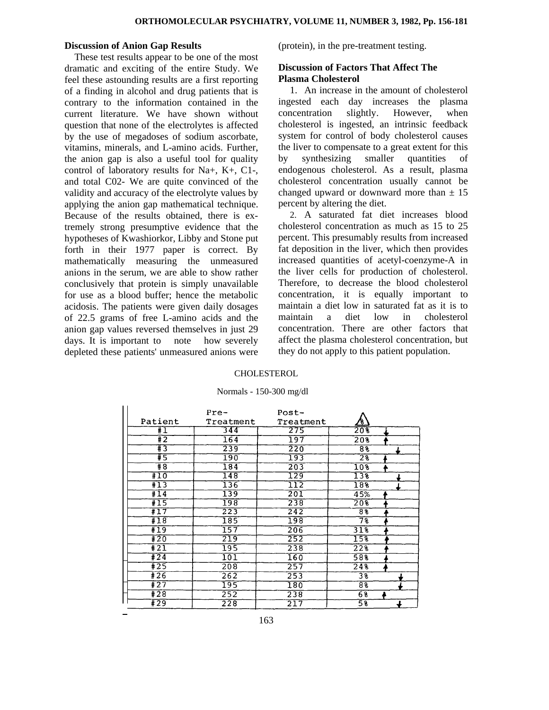#### **Discussion of Anion Gap Results**

These test results appear to be one of the most dramatic and exciting of the entire Study. We feel these astounding results are a first reporting of a finding in alcohol and drug patients that is contrary to the information contained in the current literature. We have shown without question that none of the electrolytes is affected by the use of megadoses of sodium ascorbate, vitamins, minerals, and L-amino acids. Further, the anion gap is also a useful tool for quality control of laboratory results for Na+, K+, C1-, and total C02- We are quite convinced of the validity and accuracy of the electrolyte values by applying the anion gap mathematical technique. Because of the results obtained, there is extremely strong presumptive evidence that the hypotheses of Kwashiorkor, Libby and Stone put forth in their 1977 paper is correct. By mathematically measuring the unmeasured anions in the serum, we are able to show rather conclusively that protein is simply unavailable for use as a blood buffer; hence the metabolic acidosis. The patients were given daily dosages of 22.5 grams of free L-amino acids and the anion gap values reversed themselves in just 29 days. It is important to note how severely depleted these patients' unmeasured anions were

(protein), in the pre-treatment testing.

#### **Discussion of Factors That Affect The Plasma Cholesterol**

1. An increase in the amount of cholesterol ingested each day increases the plasma concentration slightly. However, when cholesterol is ingested, an intrinsic feedback system for control of body cholesterol causes the liver to compensate to a great extent for this by synthesizing smaller quantities of endogenous cholesterol. As a result, plasma cholesterol concentration usually cannot be changed upward or downward more than  $\pm$  15 percent by altering the diet.

2. A saturated fat diet increases blood cholesterol concentration as much as 15 to 25 percent. This presumably results from increased fat deposition in the liver, which then provides increased quantities of acetyl-coenzyme-A in the liver cells for production of cholesterol. Therefore, to decrease the blood cholesterol concentration, it is equally important to maintain a diet low in saturated fat as it is to maintain a diet low in cholesterol concentration. There are other factors that affect the plasma cholesterol concentration, but they do not apply to this patient population.

#### CHOLESTEROL

#### Normals - 150-300 mg/dl

|                 | Pre-             | $Post-$          |                        |  |
|-----------------|------------------|------------------|------------------------|--|
| Patient         | Treatment        | Treatment        | <u>⁄ક</u>              |  |
| #I              | 344              | 275              | 208                    |  |
| $\overline{12}$ | 164              | 197              | 208                    |  |
| #3              | 239              | 220              | 88                     |  |
| #5              | 190              | 193              | $\overline{2\sqrt{2}}$ |  |
| #8              | 184              | 203              | 10 <sup>8</sup>        |  |
| #10             | 148              | 129              | 138                    |  |
| $\overline{13}$ | 136              | 112              | 188                    |  |
| $\overline{11}$ | 139              | 201              | 45%                    |  |
| #15             | 198              | 238              | 20%                    |  |
| #17             | 223              | $\overline{242}$ | 8 <sup>8</sup>         |  |
| #18             | 185              | 198              | $\overline{78}$        |  |
| #19             | 157              | 206              | 318                    |  |
| #20             | 219              | 252              | $15\overline{8}$       |  |
| #21             | 195              | 238              | 228                    |  |
| #24             | $10\overline{1}$ | 160              | 58                     |  |
| #25             | 208              | 257              | 248                    |  |
| #26             | 262              | 253              | 3 <sup>2</sup>         |  |
| #27             | 195              | 180              | 88                     |  |
| #28             | 252              | 238              | 68                     |  |
| #29             | 228              | 217              | 58                     |  |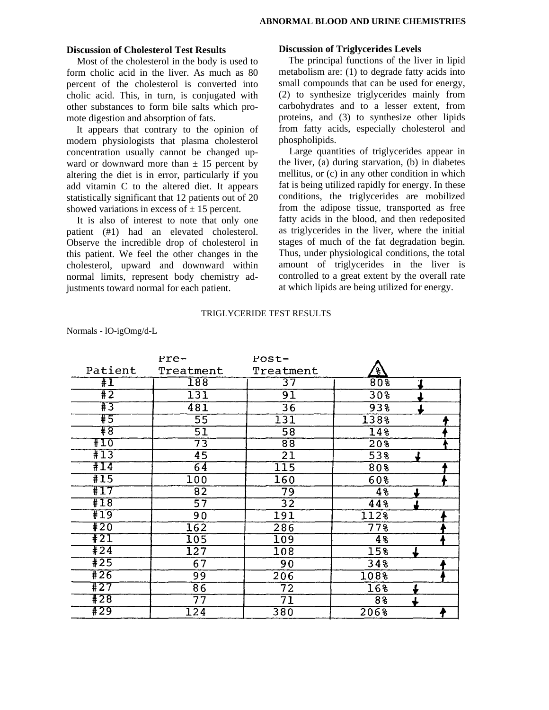#### **Discussion of Cholesterol Test Results**

Most of the cholesterol in the body is used to form cholic acid in the liver. As much as 80 percent of the cholesterol is converted into cholic acid. This, in turn, is conjugated with other substances to form bile salts which promote digestion and absorption of fats.

It appears that contrary to the opinion of modern physiologists that plasma cholesterol concentration usually cannot be changed upward or downward more than  $\pm$  15 percent by altering the diet is in error, particularly if you add vitamin C to the altered diet. It appears statistically significant that 12 patients out of 20 showed variations in excess of  $\pm$  15 percent.

It is also of interest to note that only one patient (#1) had an elevated cholesterol. Observe the incredible drop of cholesterol in this patient. We feel the other changes in the cholesterol, upward and downward within normal limits, represent body chemistry adjustments toward normal for each patient.

### **Discussion of Triglycerides Levels**

The principal functions of the liver in lipid metabolism are: (1) to degrade fatty acids into small compounds that can be used for energy, (2) to synthesize triglycerides mainly from carbohydrates and to a lesser extent, from proteins, and (3) to synthesize other lipids from fatty acids, especially cholesterol and phospholipids.

Large quantities of triglycerides appear in the liver, (a) during starvation, (b) in diabetes mellitus, or (c) in any other condition in which fat is being utilized rapidly for energy. In these conditions, the triglycerides are mobilized from the adipose tissue, transported as free fatty acids in the blood, and then redeposited as triglycerides in the liver, where the initial stages of much of the fat degradation begin. Thus, under physiological conditions, the total amount of triglycerides in the liver is controlled to a great extent by the overall rate at which lipids are being utilized for energy.

#### TRIGLYCERIDE TEST RESULTS

|                 | $rce-$           | $Post-$          |                  |   |  |
|-----------------|------------------|------------------|------------------|---|--|
| Patient         | Treatment        | Treatment        | <u>{8}</u>       |   |  |
| $\overline{11}$ | 188              | $\overline{37}$  | 80 <sub>8</sub>  | 7 |  |
| $\overline{11}$ | 131              | 91               | 30 <sub>8</sub>  |   |  |
| #3              | 481              | 36               | 938              |   |  |
| #5              | $\overline{55}$  | 131              | 1388             |   |  |
| #8              | $\overline{51}$  | 58               | $\overline{148}$ |   |  |
| $\pm 10$        | $\overline{73}$  | 88               | 20%              |   |  |
| #13             | $\overline{45}$  | $\overline{21}$  | 53%              |   |  |
| #14             | 64               | 115              | 80%              |   |  |
| #15             | 100              | 160              | 60%              |   |  |
| #17             | 82               | 79               | 4 <sub>8</sub>   |   |  |
| #18             | $\overline{57}$  | 32               | 44%              |   |  |
| #19             | $\overline{90}$  | 191              | 112%             |   |  |
| #20             | $\overline{162}$ | 286              | $77\frac{2}{5}$  |   |  |
| #21             | 105              | 109              | 48               |   |  |
| #24             | 127              | 108              | 15%              |   |  |
| #25             | 67               | 90               | 34%              |   |  |
| #26             | $\overline{99}$  | 206              | 1088             |   |  |
| #27             | $\overline{86}$  | 72               | 16%              |   |  |
| #28             | 77               | 71               | 88               |   |  |
| #29             | 124              | $\overline{380}$ | 2068             |   |  |

Normals - lO-igOmg/d-L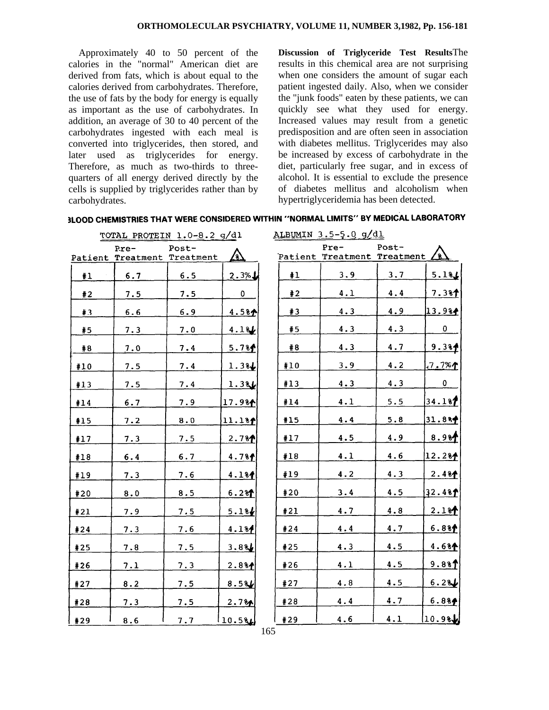Approximately 40 to 50 percent of the calories in the "normal" American diet are derived from fats, which is about equal to the calories derived from carbohydrates. Therefore, the use of fats by the body for energy is equally as important as the use of carbohydrates. In addition, an average of 30 to 40 percent of the carbohydrates ingested with each meal is converted into triglycerides, then stored, and later used as triglycerides for energy. Therefore, as much as two-thirds to threequarters of all energy derived directly by the cells is supplied by triglycerides rather than by carbohydrates.

**Discussion of Triglyceride Test Results**The results in this chemical area are not surprising when one considers the amount of sugar each patient ingested daily. Also, when we consider the "junk foods" eaten by these patients, we can quickly see what they used for energy. Increased values may result from a genetic predisposition and are often seen in association with diabetes mellitus. Triglycerides may also be increased by excess of carbohydrate in the diet, particularly free sugar, and in excess of alcohol. It is essential to exclude the presence of diabetes mellitus and alcoholism when hypertriglyceridemia has been detected.

 $7.381$ 

13.9%

 $\mathbf{0}$ 

 $9.3%$ 

 $7.7%$ 

0

34.187

31.8%

 $8.98$ 

12.284

 $2.4%$ 

32.481

 $2.1%$ 

 $6.88$  $4.684$ 

 $9.8%$ 

 $6.281$ 

 $6.884$ 

 $10.9$ st

 $4.4$ 

 $4.9$ 

4.3 4.7

 $4.2$ 

 $4.3$ 

 $5.5$ 

5.8

4.9

 $4.6$  $4.3$ 

 $4.5$ 

 $4.8$ 

4.7

 $4.5$ 

 $4.5$ 

 $4.5$ 

 $4.7$ 

 $4.1$ 

| TOTAL                                 | PROTEIN $1.0 - 8.2$ g/dl |      |  | ALBUMIN 3.5-5.0 g/dl                              |       |  |
|---------------------------------------|--------------------------|------|--|---------------------------------------------------|-------|--|
| $Pre-$<br>Patient Treatment Treatment | Post-                    |      |  | $Pre-$<br>Patient Treatment Treatment $\angle$ 8) | Post- |  |
|                                       |                          | 3% J |  |                                                   |       |  |

| 3LOOD CHEMISTRIES THAT WERE CONSIDERED WITHIN "NORMAL LIMITS" BY MEDICAL LABORATORY |  |
|-------------------------------------------------------------------------------------|--|

|     |     | Patient Treatment Treatment | <u>A</u>          |     | Patient Treatment 1 |
|-----|-----|-----------------------------|-------------------|-----|---------------------|
| #1  | 6.7 | 6.5                         | 2.3%              | #1  | 3.9                 |
| #2  | 7.5 | 7.5                         | $\sim 0$          | #2  | 4.1                 |
| #3  | 6.6 | 6.9                         | 4.58 <sub>1</sub> | #3  | 4.3                 |
| #5  | 7.3 | 7.0                         | 4.13              | #5  | 4.3                 |
| #8  | 7.0 | 7.4                         | 5.7%              | #8  | 4.3                 |
| #10 | 7.5 | 7.4                         | 1.3%              | #10 | 3.9                 |
| #13 | 7.5 | 7.4                         | 1.386             | #13 | 4.3                 |
| #14 | 6.7 | 7.9                         | 17.981            | #14 | 4.1                 |
| #15 | 7.2 | 8.0                         | 11.181            | #15 | 4.4                 |
| #17 | 7.3 | 7.5                         | 2.7%              | #17 | 4.5                 |
|     |     |                             |                   | #18 | 4.1                 |
| #18 | 6.4 | 6.7                         | 4.7%              |     | 4.2                 |
| #19 | 7.3 | 7.6                         | 4.184             | #19 |                     |
| #20 | 8.0 | 8.5                         | 6.2%              | #20 | 3.4                 |
| #21 | 7.9 | 7.5                         | 5.18              | #21 | 4.7                 |
| #24 | 7.3 | 7.6                         | 4.184             | #24 | 4.4                 |
| #25 | 7.8 | 7.5                         | 3.88              | #25 | 4.3                 |
| #26 | 7.1 | <u>7.3</u>                  | 2.8%              | #26 | 4.1                 |
| #27 | 8.2 | 7.5                         | 8.581             | #27 | 4.8                 |
| #28 | 7.3 | 7.5                         | 2.7%              | #28 | 4.4                 |
| #29 | 8.6 | 7.7                         | $10.5\%$          | #29 | 4.6                 |
|     |     |                             |                   | 165 |                     |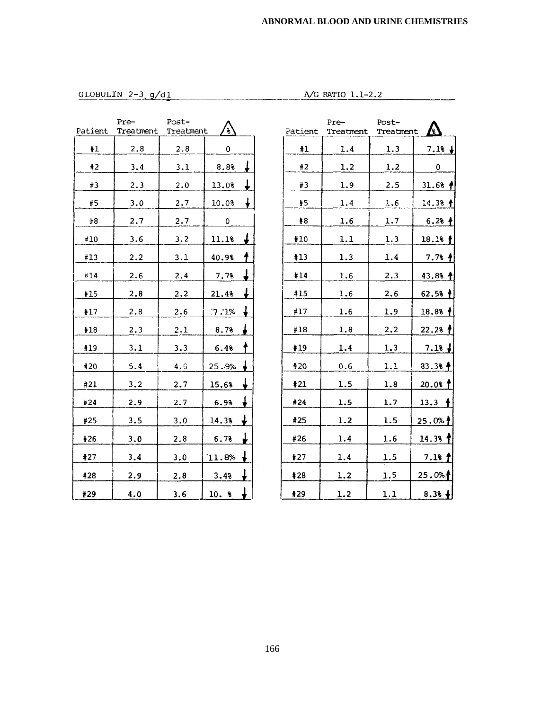GLOBULIN 2-3 g/dl

A/G RATIO 1.1-2.2

|          | Pre-              | Post-     |                         |
|----------|-------------------|-----------|-------------------------|
|          | Patient Treatment | Treatment | ′કે                     |
| #1       | 2.8               | 2.8       | 0                       |
| #2       | 3.4               | 3.1       | ↓<br>8.8%               |
| #3       | 2.3               | 2.0       | 13.0%                   |
| #5       | 3.0               | 2.7       | ↡<br>10.03              |
| #8       | 2.7               | 2.7       | 0                       |
| $\pm 10$ | 3.6               | 3.2       | ↓<br>11.1%              |
| #13      | 2.2               | 3.1       | ł<br>40.9%              |
| #14      | 2.6               | 2.4       | ↓<br>7.7%               |
| #15      | 2.8               | 2.2       | t<br>21.4%              |
| #17      | 2.8               | 2.6       | ł<br>.7:1%              |
| #18      | 2.3               | 2.1       | L<br>8.7%               |
| #19      | 3.1               | 3.3       | t<br>6.4%               |
| #20      | 5.4               | 4.6       | ↓<br>25.9%              |
| #21      | 3.2               | 2.7       | ↓<br>15.6%              |
| #24      | 2.9               | 2.7       | t<br>6.98               |
| #25      | 3.5               | 3.0       | $\downarrow$<br>14.3%   |
| #26      | 3.0               | 2.8       | ↓<br>6.73               |
| #27      | 3.4               | 3.0       | $\ddagger$<br>$`11.8\%$ |
| #28      | 2.9               | 2.8       | ↓<br>3.48               |
| #29      | 4.0               | 3.6       | ↓<br>10. %              |

|         | Pre-      | Post-     |                       |
|---------|-----------|-----------|-----------------------|
| Patient | Treatment | Treatment | $\boldsymbol{\zeta}$  |
| #1      | 1.4       | 1.3       | 7.1%<br>$\frac{1}{2}$ |
| #2      | 1.2       | 1.2       | 0                     |
| #3      | 1.9       | 2.5       | 31.6%<br>₫            |
| #5      | 1.4       | 1.6       | 14.3%<br>t            |
| #8      | 1.6       | 1.7       | $6.28 +$              |
| #10     | 1.1       | 1.3       | 18.1%                 |
| #13     | 1.3       | 1.4       | $7.7%$ $*$            |
| #14     | 1.6       | 2.3       | 43.8%                 |
| #15     | 1.6       | 2.6       | $62.58$ $\dagger$     |
| #17     | 1.6       | 1.9       | 18.88                 |
| #18     | 1.8       | 2.2       | 22.2%                 |
| #19     | 1.4       | 1.3       | $7.18 +$              |
| #20     | 0.6       | 1.1       | $33.38 +$             |
| #21     | 1.5       | 1.8       | 20.08                 |
| #24     | 1.5       | 1.7       | 13.3                  |
| #25     | 1.2       | 1.5       | 25.0%                 |
| #26     | 1.4       | 1.6       | 14.3%                 |
| #27     | 1.4       | 1.5       | 7.18 f                |
| #28     | 1.2       | 1.5       | 25.0%                 |
| #29     | 1.2       | 1.1       | $8.3% +$              |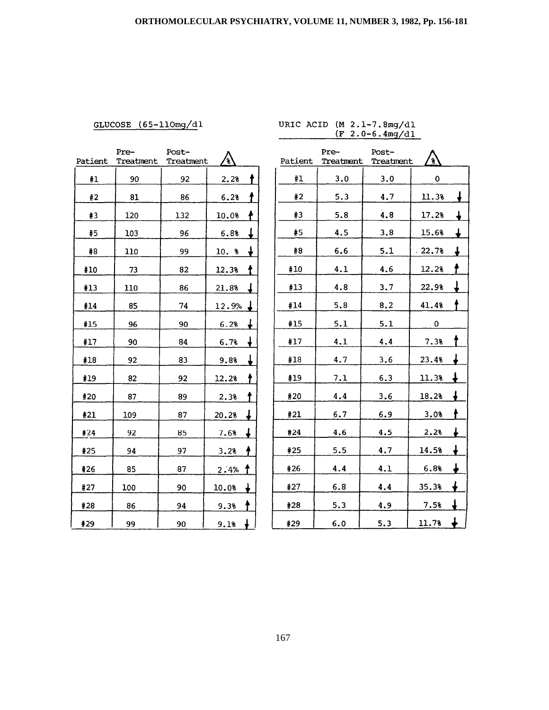## GLUCOSE (65-110mg/dl

# URIC ACID (M 2.1-7.8mg/dl<br>
(F 2.0-6.4mg/dl)

|         | Pre-      | Post-     |             |
|---------|-----------|-----------|-------------|
| Patient | Treatment | Treatment | 'કે         |
| #1      | 90        | 92        | 2.28        |
| #2      | 81        | 86        | 6.28        |
| #3      | 120       | 132       | ł.<br>10.0% |
| #5      | 103       | 96        | T<br>6.8%   |
| #8      | 110       | 99        | 10. t       |
| #10     | 73        | 82        | 12.3%<br>Ť  |
| #13     | 110       | 86        | 21.8%<br>↓  |
| #14     | 85        | 74        | 12.9%       |
| #15     | 96        | 90        | ↓<br>6.2%   |
| #17     | 90        | 84        | ↓<br>6.7%   |
| #18     | 92        | 83        | 9.8%        |
| #19     | 82        | 92        | 12.2%       |
| #20     | 87        | 89        | 2.3%        |
| #21     | 109       | 87        | 20.2%       |
| #24     | 92        | 85        | T<br>7.6%   |
| #25     | 94        | 97        | 3.2%        |
| #26     | 85        | 87        | 2.4%        |
| #27     | 100       | 90        | 10.0%       |
| #28     | 86        | 94        | 9.3%        |
| #29     | 99        | 90        | 9.1%        |

|         | Pre-      | Post-     |          |   |
|---------|-----------|-----------|----------|---|
| Patient | Treatment | Treatment | 8        |   |
| #1      | 3.0       | 3.0       | 0        |   |
| #2      | 5.3       | 4.7       | 11.3%    | ↓ |
| #3      | 5.8       | 4, 8      | 17.2%    | ↓ |
| #5      | 4.5       | 3.8       | 15.6%    | ↓ |
| #8      | 6.6       | 5.1       | $-22.7%$ |   |
| #10     | 4.1       | 4.6       | 12.2%    |   |
| #13     | 4.8       | 3,7       | 22.9%    |   |
| #14     | 5.8       | 8.2       | 41.4%    |   |
| #15     | 5.1       | 5.1       | 0        |   |
| #17     | 4.1       | 4.4       | 7.3%     |   |
| #18     | 4.7       | 3.6       | 23.4%    |   |
| #19     | 7.1       | 6.3       | 11.3%    |   |
| #20     | 4.4       | 3.6       | 18.2%    |   |
| #21     | 6.7       | 6.9       | 3.0%     |   |
| #24     | 4.6       | 4.5       | 2.28     |   |
| #25     | 5.5       | 4.7       | 14.5%    |   |
| #26     | 4.4       | 4.1       | 6.8%     |   |
| #27     | 6.8       | 4.4       | 35.3%    |   |
| #28     | 5.3       | 4.9       | 7.58     |   |
| #29     | 6.0       | 5.3       | 11.7%    | ∔ |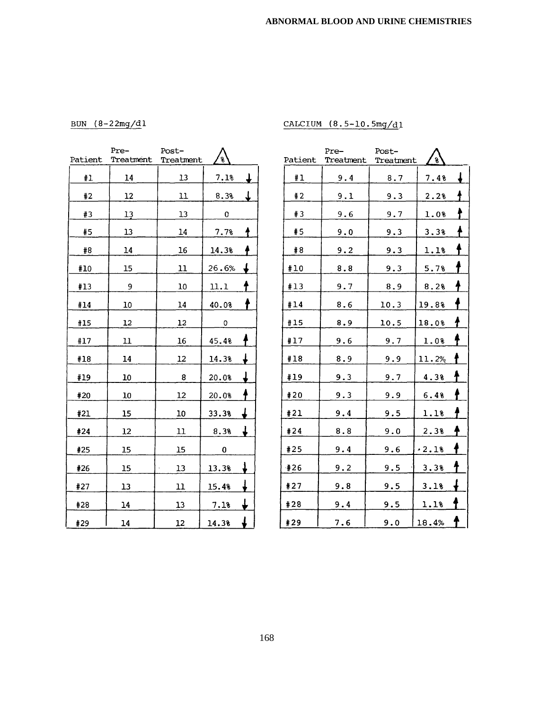BUN  $(8-22mg/d)$ 

| CALCIUM $(8.5-10.5mg/d)$ |
|--------------------------|
|                          |

| Patient | Pre-<br>Treatment | Post-<br>Treatment | g     |               |
|---------|-------------------|--------------------|-------|---------------|
| #1      | 14                | 13                 | 7.1%  |               |
| #2      | 12                | 11                 | 8.3%  | ↓             |
| #3      | 13                | 13                 | 0     |               |
| #5      | 13                | 14                 | 7.7%  |               |
| #8      | 14                | 16                 | 14.3% |               |
| #10     | 15                | 11                 | 26.6% |               |
| #13     | 9                 | 10                 | 11.1  |               |
| #14     | 10                | 14                 | 40.0% |               |
| #15     | 12                | 12                 | 0     |               |
| #17     | 11                | 16                 | 45.4% |               |
| #18     | 14                | 12                 | 14.3% |               |
| #19     | 10                | 8                  | 20.0% |               |
| #20     | 10                | 12                 | 20.0% |               |
| #21     | 15                | 10                 | 33.3% |               |
| #24     | 12                | 11                 | 8.3%  | ↓             |
| #25     | 15                | 15                 | 0     |               |
| #26     | 15                | 13                 | 13.3% | J             |
| #27     | 13                | 11                 | 15.4% | $\frac{1}{2}$ |
| #28     | 14                | 13                 | 7.1%  | ↓             |
| #29     | 14                | 12                 | 14.3% | ↡             |

|         | Pre-      | Post-      |         |   |
|---------|-----------|------------|---------|---|
| Patient | Treatment | Treatment  | g       |   |
| #1      | 9.4       | 8.7        | 7.4%    |   |
| #2      | 9.1       | 9.3        | 2.2%    |   |
| #3      | 9.6       | 9.7        | $1.0$ % |   |
| #5      | 9.0       | 9.3        | 3.3%    |   |
| #8      | 9.2       | 9.3        | 1.1%    |   |
| #10     | 8.8       | 9.3        | 5.7%    |   |
| #13     | 9.7       | 8.9        | 8.2%    |   |
| #14     | 8.6       | 10.3       | 19.8%   |   |
| #15     | 8.9       | 10.5       | 18.0%   |   |
| #17     | 9.6       | 9.7        | 1.0%    |   |
| #18     | 8.9       | 9.9        | 11.2%   |   |
| #19     | 9.3       | 9.7        | 4.3%    |   |
| #20     | 9.3       | <u>9.9</u> | 6.4%    |   |
| #21     | 9.4       | 9.5        | 1.1%    |   |
| #24     | 8.8       | 9.0        | 2.3%    |   |
| #25     | 9.4       | 9.6        | .2.18   |   |
| ∙#26    | 9.2       | 9.5        | 3.3%    |   |
| #27     | 9.8       | 9.5        | 3.1%    |   |
| #28     | 9.4       | 9.5        | 1.1%    |   |
| #29     | 7.6       | 9.0        | 18.4%   | ↑ |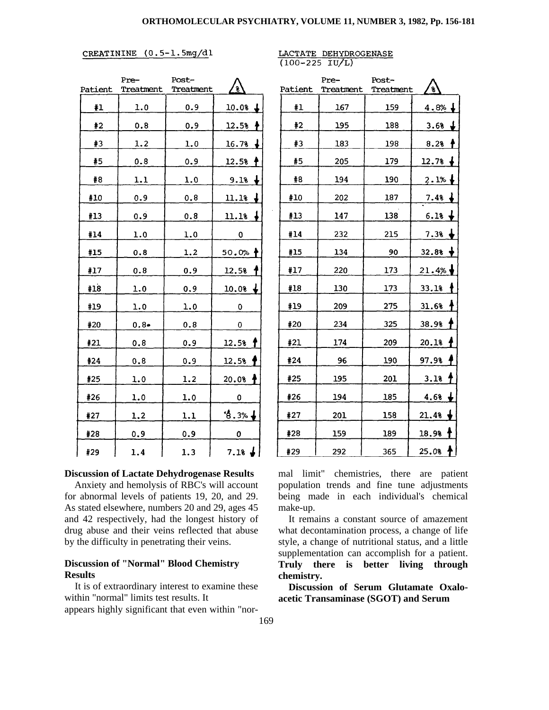#### CREATININE (0.5-1.5mg/dl

|         | Pre-      | Post-      |                   |
|---------|-----------|------------|-------------------|
| Patient | Treatment | Treatment  | ั้ง               |
| #1      | 1.0       | 0.9        | $10.08 +$         |
| #2      | 0.8       | 0.9        | $12.5%$ †         |
| #3      | 1.2       | 1.0        | $16.78 +$         |
| #5      | 0.8       | 0.9        | $12.5%$ †         |
| #8      | 1.1       | 1.0        | $9.18 +$          |
| #10     | 0.9       | 0.8        | $11.18 +$         |
| #13     | 0.9       | 0.8        | $11.18 +$         |
| #14     | 1.0       | 1.0        | 0                 |
| #15     | 0.8       | 1.2        | 50.0%†            |
| #17     | 0.8       | 0.9        | 12.5%             |
| #18     | 1.0       | 0.9        | $10.08 +$         |
| #19     | 1.0       | 1.0        | 0                 |
| #20     | $0.8 -$   | 0.8        | 0                 |
| #21     | 0.8       | 0.9        | 12.5%             |
| #24     | 0.8       | 0.9        | 12.5%             |
| #25     | 1.0       | 1.2        | $20.08 +$         |
| #26     | 1.0       | 1.0        | 0                 |
| #27     | 1.2       | <u>1.1</u> | 6.3%              |
| #28     | 0.9       | 0.9        | 0                 |
| #29     | 1.4       | 1.3        | $7.18 \downarrow$ |

#### **Discussion of Lactate Dehydrogenase Results**

Anxiety and hemolysis of RBC's will account for abnormal levels of patients 19, 20, and 29. As stated elsewhere, numbers 20 and 29, ages 45 and 42 respectively, had the longest history of drug abuse and their veins reflected that abuse by the difficulty in penetrating their veins.

#### **Discussion of "Normal" Blood Chemistry Results**

It is of extraordinary interest to examine these within "normal" limits test results. It appears highly significant that even within "nor-

|         | Pre-      | Post-     | g                      |
|---------|-----------|-----------|------------------------|
| Patient | Treatment | Treatment |                        |
| #1      | 167       | 159       | $4.8%$ ↓               |
| #2      | 195       | 188       | 3.68 $\downarrow$      |
| #3      | 183       | 198       | 8.2%<br>$\ddot{\tau}$  |
| #5      | 205       | 179       | $12.7%$ $\downarrow$   |
| #8      | 194       | 190       | 2.1%                   |
| #10     | 202       | 187       | $7.48 +$               |
| #13     | 147       | 138       | $6.18 +$               |
| #14     | 232       | 215       | $\bullet$<br>7.3%      |
| #15     | 134       | 90        | $\frac{1}{2}$<br>32.8% |
| #17     | 220       | 173       | 21.4%                  |
| #18     | 130       | 173       | 33.1%                  |
| #19     | 209       | 275       | ł<br>31.6%             |
| #20     | 234       | 325       | 38.9%                  |
| #21     | 174       | 209       | ł<br>20.1%             |
| #24     | 96        | 190       | 97.9%                  |
| #25     | 195       | 201       | 3.18                   |
| #26     | 194       | 185       | $4.68 +$               |
| #27     | 201       | 158       | 21.4%                  |
| #28     | 159       | 189       | $\ddagger$<br>18.9%    |
| #29     | 292       | 365       | ł<br>25.08             |

mal limit" chemistries, there are patient population trends and fine tune adjustments being made in each individual's chemical make-up.

It remains a constant source of amazement what decontamination process, a change of life style, a change of nutritional status, and a little supplementation can accomplish for a patient. **Truly there is better living through chemistry.** 

**Discussion of Serum Glutamate Oxaloacetic Transaminase (SGOT) and Serum**

#### LACTATE DEHYDROGENASE  $(100 - 225 \text{ IU/L})$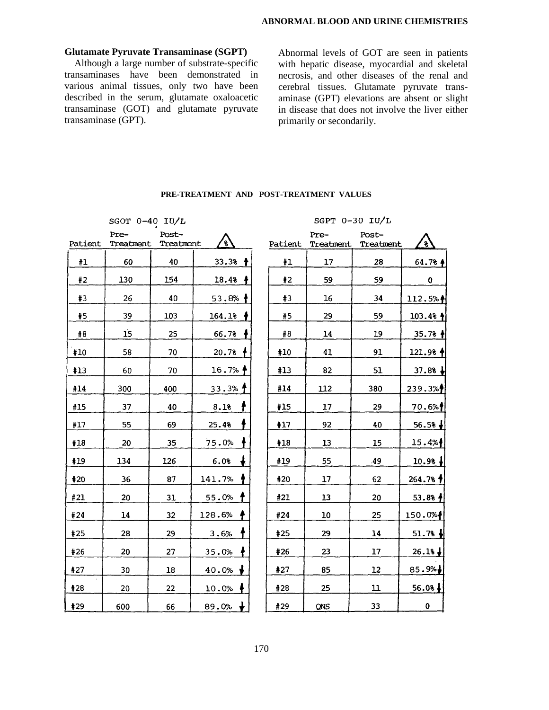#### **Glutamate Pyruvate Transaminase (SGPT)**

Although a large number of substrate-specific transaminases have been demonstrated in various animal tissues, only two have been described in the serum, glutamate oxaloacetic transaminase (GOT) and glutamate pyruvate transaminase (GPT).

Abnormal levels of GOT are seen in patients with hepatic disease, myocardial and skeletal necrosis, and other diseases of the renal and cerebral tissues. Glutamate pyruvate transaminase (GPT) elevations are absent or slight in disease that does not involve the liver either primarily or secondarily.

|         | SGOT $0-40$ IU/L  |                    |            |         |                   | SGPT 0-30 IU/L     |                     |
|---------|-------------------|--------------------|------------|---------|-------------------|--------------------|---------------------|
| Patient | Pre-<br>Treatment | Post-<br>Treatment | ′ะ`        | Patient | Pre-<br>Treatment | Post-<br>Treatment | ંક્                 |
| #1      | 60                | 40                 | 33.3%<br>Ť | #1      | 17                | 28                 | $64.78 +$           |
| #2      | 130               | 154                | 18.4%      | #2      | 59                | 59                 | 0                   |
| #3      | 26                | 40                 | 53.8%      | #3      | 16                | 34                 | 112.5%              |
| #5      | 39                | 103                | 164.1%     | #5      | 29                | 59                 | $103.48$ $\uparrow$ |
| #8      | 15                | 25                 | 66.7%      | #8      | 14                | 19                 | $35.78$ $\parallel$ |
| #10     | 58                | 70                 | 20.7%      | #10     | 41                | 91                 | $121.98$ $\uparrow$ |
| #13     | 60                | 70                 | 16.7%      | #13     | 82                | 51                 | $37.88 +$           |
| #14     | 300               | 400                | $33.3%$ 1  | #14     | 112               | 380                | 239.3%              |
| #15     | 37                | 40                 | 8.1%       | #15     | 17                | 29                 | 70.6%               |
| #17     | 55                | 69                 | 25.4%      | #17     | 92                | 40                 | 56.5%               |
| #18     | 20                | 35                 | 75.0%      | #18     | 13                | 15                 | 15.4%               |
| #19     | 134               | 126                | 6.0%       | #19     | 55                | .49                | $10.98 +$           |
| #20     | 36                | 87                 | 141.7%     | #20     | 17                | 62                 | 264.7%              |
| #21     | 20                | 31                 | 55.0%      | #21     | 13                | 20                 | 53.88 f             |
| #24     | 14                | 32                 | 128.6%     | #24     | 10                | 25                 | 150.0%              |
| #25     | 28                | 29                 | 3.6%       | #25     | 29                | 14                 | 51.7%               |
| #26     | 20                | 27                 | 35.0%      | #26     | 23                | 17                 | 26.18               |
| #27     | 30                | 18                 | 40.0%      | #27     | 85                | 12                 | 85.9%               |
| #28     | 20                | 22                 | 10.0%      | #28     | 25                | 11                 | $56.08\downarrow$   |
| #29     | 600               | 66                 | 89.0%      | #29     | QNS               | 33                 | 0                   |

#### **PRE-TREATMENT AND POST-TREATMENT VALUES**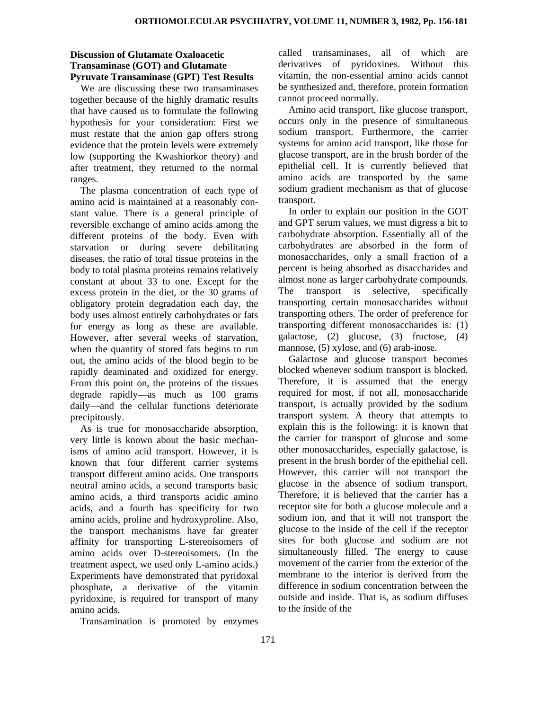#### **Discussion of Glutamate Oxaloacetic Transaminase (GOT) and Glutamate Pyruvate Transaminase (GPT) Test Results**

We are discussing these two transaminases together because of the highly dramatic results that have caused us to formulate the following hypothesis for your consideration: First we must restate that the anion gap offers strong evidence that the protein levels were extremely low (supporting the Kwashiorkor theory) and after treatment, they returned to the normal ranges.

The plasma concentration of each type of amino acid is maintained at a reasonably constant value. There is a general principle of reversible exchange of amino acids among the different proteins of the body. Even with starvation or during severe debilitating diseases, the ratio of total tissue proteins in the body to total plasma proteins remains relatively constant at about 33 to one. Except for the excess protein in the diet, or the 30 grams of obligatory protein degradation each day, the body uses almost entirely carbohydrates or fats for energy as long as these are available. However, after several weeks of starvation, when the quantity of stored fats begins to run out, the amino acids of the blood begin to be rapidly deaminated and oxidized for energy. From this point on, the proteins of the tissues degrade rapidly—as much as 100 grams daily—and the cellular functions deteriorate precipitously.

As is true for monosaccharide absorption, very little is known about the basic mechanisms of amino acid transport. However, it is known that four different carrier systems transport different amino acids. One transports neutral amino acids, a second transports basic amino acids, a third transports acidic amino acids, and a fourth has specificity for two amino acids, proline and hydroxyproline. Also, the transport mechanisms have far greater affinity for transporting L-stereoisomers of amino acids over D-stereoisomers. (In the treatment aspect, we used only L-amino acids.) Experiments have demonstrated that pyridoxal phosphate, a derivative of the vitamin pyridoxine, is required for transport of many amino acids.

Transamination is promoted by enzymes

called transaminases, all of which are derivatives of pyridoxines. Without this vitamin, the non-essential amino acids cannot be synthesized and, therefore, protein formation cannot proceed normally.

Amino acid transport, like glucose transport, occurs only in the presence of simultaneous sodium transport. Furthermore, the carrier systems for amino acid transport, like those for glucose transport, are in the brush border of the epithelial cell. It is currently believed that amino acids are transported by the same sodium gradient mechanism as that of glucose transport.

In order to explain our position in the GOT and GPT serum values, we must digress a bit to carbohydrate absorption. Essentially all of the carbohydrates are absorbed in the form of monosaccharides, only a small fraction of a percent is being absorbed as disaccharides and almost none as larger carbohydrate compounds. The transport is selective, specifically transporting certain monosaccharides without transporting others. The order of preference for transporting different monosaccharides is: (1) galactose, (2) glucose, (3) fructose, (4) mannose, (5) xylose, and (6) arab-inose.

Galactose and glucose transport becomes blocked whenever sodium transport is blocked. Therefore, it is assumed that the energy required for most, if not all, monosaccharide transport, is actually provided by the sodium transport system. A theory that attempts to explain this is the following: it is known that the carrier for transport of glucose and some other monosaccharides, especially galactose, is present in the brush border of the epithelial cell. However, this carrier will not transport the glucose in the absence of sodium transport. Therefore, it is believed that the carrier has a receptor site for both a glucose molecule and a sodium ion, and that it will not transport the glucose to the inside of the cell if the receptor sites for both glucose and sodium are not simultaneously filled. The energy to cause movement of the carrier from the exterior of the membrane to the interior is derived from the difference in sodium concentration between the outside and inside. That is, as sodium diffuses to the inside of the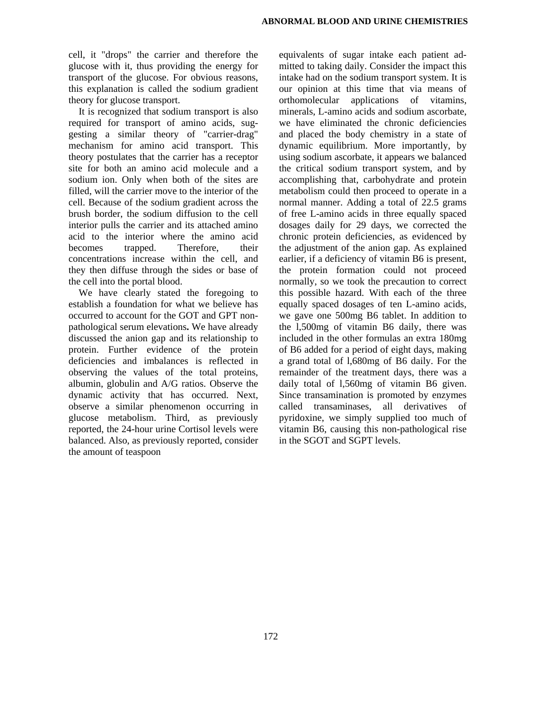cell, it "drops" the carrier and therefore the glucose with it, thus providing the energy for transport of the glucose. For obvious reasons, this explanation is called the sodium gradient theory for glucose transport.

It is recognized that sodium transport is also required for transport of amino acids, suggesting a similar theory of "carrier-drag" mechanism for amino acid transport. This theory postulates that the carrier has a receptor site for both an amino acid molecule and a sodium ion. Only when both of the sites are filled, will the carrier move to the interior of the cell. Because of the sodium gradient across the brush border, the sodium diffusion to the cell interior pulls the carrier and its attached amino acid to the interior where the amino acid<br>becomes trapped. Therefore, their becomes trapped. Therefore, their concentrations increase within the cell, and they then diffuse through the sides or base of the cell into the portal blood.

We have clearly stated the foregoing to establish a foundation for what we believe has occurred to account for the GOT and GPT nonpathological serum elevations**.** We have already discussed the anion gap and its relationship to protein. Further evidence of the protein deficiencies and imbalances is reflected in observing the values of the total proteins, albumin, globulin and A/G ratios. Observe the dynamic activity that has occurred. Next, observe a similar phenomenon occurring in glucose metabolism. Third, as previously reported, the 24-hour urine Cortisol levels were balanced. Also, as previously reported, consider the amount of teaspoon

equivalents of sugar intake each patient admitted to taking daily. Consider the impact this intake had on the sodium transport system. It is our opinion at this time that via means of orthomolecular applications of vitamins, minerals, L-amino acids and sodium ascorbate, we have eliminated the chronic deficiencies and placed the body chemistry in a state of dynamic equilibrium. More importantly, by using sodium ascorbate, it appears we balanced the critical sodium transport system, and by accomplishing that, carbohydrate and protein metabolism could then proceed to operate in a normal manner. Adding a total of 22.5 grams of free L-amino acids in three equally spaced dosages daily for 29 days, we corrected the chronic protein deficiencies, as evidenced by the adjustment of the anion gap. As explained earlier, if a deficiency of vitamin B6 is present, the protein formation could not proceed normally, so we took the precaution to correct this possible hazard. With each of the three equally spaced dosages of ten L-amino acids, we gave one 500mg B6 tablet. In addition to the l,500mg of vitamin B6 daily, there was included in the other formulas an extra 180mg of B6 added for a period of eight days, making a grand total of l,680mg of B6 daily. For the remainder of the treatment days, there was a daily total of 1,560mg of vitamin B6 given. Since transamination is promoted by enzymes called transaminases, all derivatives of pyridoxine, we simply supplied too much of vitamin B6, causing this non-pathological rise in the SGOT and SGPT levels.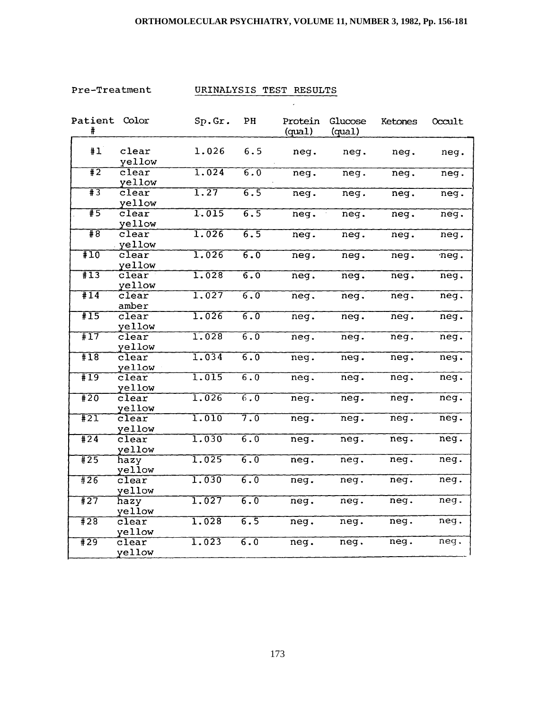# **ORTHOMOLECULAR PSYCHIATRY, VOLUME 11, NUMBER 3, 1982, Pp. 156-181**

Pre-Treatment

# URINALYSIS TEST RESULTS

 $\epsilon$ 

| #1<br>6.5<br>clear<br>1.026<br>neg.<br>neg.<br>neg.<br>yellow<br>$\overline{1}$<br>1.024<br>$\overline{6.0}$<br>$\overline{\text{clear}}$<br>neg.<br>neg.<br>neq.<br>yellow<br>$\overline{13}$<br>$\overline{1.27}$<br>$\overline{\text{clear}}$<br>6.5<br>neg.<br>$\overline{\text{neg}}$ .<br>neq.<br>yellow<br>1.015<br>#5<br>$\overline{6.5}$<br>$\overline{\text{clear}}$<br>neg.<br>neg.<br>neg.<br>yellow<br>#8<br>1.026<br>$\overline{6.5}$<br>$\overline{\text{clear}}$<br>neg.<br>neg.<br>neg.<br>yellow<br>#10<br>1.026<br>6.0<br>clear<br>neq.<br>neg.<br>neg.<br>yellow<br>$\overline{113}$<br>6.0<br>1.028<br>$c$ lear<br>neg.<br>neg.<br>neq.<br>yellow<br>#14<br>1.027<br>6.0<br>clear<br>neg.<br>neg.<br>neg.<br>amber<br>$\overline{15}$<br>1.026<br>6.0<br>$\overline{\text{clear}}$<br>neg.<br>neg.<br>neg.<br>yellow<br>#17<br>1.028<br>$\overline{6.0}$<br>$\overline{\text{clear}}$<br>neq.<br>neg.<br>neg.<br>yellow<br>1.034<br>$\overline{6.0}$<br>$\overline{18}$<br>clear<br>neg.<br>neg.<br>neg.<br>yellow<br>#19<br>1.015<br>$\overline{6.0}$<br>clear<br>neq.<br>neg.<br>neg.<br>yellow<br>1.026<br>#20<br>$\overline{6.0}$<br>clear<br>neq.<br>neq.<br>neg.<br>yellow<br>$\overline{7.0}$<br>#21<br>1.010<br>$\widetilde{\text{clear}}$<br>neq.<br>neg.<br>neg.<br>yellow<br>1.030<br>#24<br>$\overline{6.0}$<br>$c$ lear<br>neg.<br>neg.<br>neg.<br>yellow<br>1.025<br>6.0<br>#25<br>neg.<br>neq.<br>neg.<br>hazy<br>yellow<br>#26<br>1.030<br>6.0<br>clear<br>neg.<br>neg.<br>neg.<br>yellow<br>1.027<br>$\overline{6.0}$<br>#27<br>neg.<br>hazy<br>neg.<br>neg.<br>yellow<br>$\overline{428}$<br>1.028<br>6.5<br>$\overline{\text{clear}}$<br>neg.<br>neg.<br>neg.<br>yellow | Patient Color<br># | Sp.Gr. | PH  | Protein<br>(qual) | Glucose<br>(qual) | Ketones | Occult |
|-----------------------------------------------------------------------------------------------------------------------------------------------------------------------------------------------------------------------------------------------------------------------------------------------------------------------------------------------------------------------------------------------------------------------------------------------------------------------------------------------------------------------------------------------------------------------------------------------------------------------------------------------------------------------------------------------------------------------------------------------------------------------------------------------------------------------------------------------------------------------------------------------------------------------------------------------------------------------------------------------------------------------------------------------------------------------------------------------------------------------------------------------------------------------------------------------------------------------------------------------------------------------------------------------------------------------------------------------------------------------------------------------------------------------------------------------------------------------------------------------------------------------------------------------------------------------------------------------------------------------------------------------------------------------------------------------------------------|--------------------|--------|-----|-------------------|-------------------|---------|--------|
|                                                                                                                                                                                                                                                                                                                                                                                                                                                                                                                                                                                                                                                                                                                                                                                                                                                                                                                                                                                                                                                                                                                                                                                                                                                                                                                                                                                                                                                                                                                                                                                                                                                                                                                 |                    |        |     |                   |                   |         | neg.   |
|                                                                                                                                                                                                                                                                                                                                                                                                                                                                                                                                                                                                                                                                                                                                                                                                                                                                                                                                                                                                                                                                                                                                                                                                                                                                                                                                                                                                                                                                                                                                                                                                                                                                                                                 |                    |        |     |                   |                   |         | neg.   |
|                                                                                                                                                                                                                                                                                                                                                                                                                                                                                                                                                                                                                                                                                                                                                                                                                                                                                                                                                                                                                                                                                                                                                                                                                                                                                                                                                                                                                                                                                                                                                                                                                                                                                                                 |                    |        |     |                   |                   |         | neq.   |
|                                                                                                                                                                                                                                                                                                                                                                                                                                                                                                                                                                                                                                                                                                                                                                                                                                                                                                                                                                                                                                                                                                                                                                                                                                                                                                                                                                                                                                                                                                                                                                                                                                                                                                                 |                    |        |     |                   |                   |         | neg.   |
|                                                                                                                                                                                                                                                                                                                                                                                                                                                                                                                                                                                                                                                                                                                                                                                                                                                                                                                                                                                                                                                                                                                                                                                                                                                                                                                                                                                                                                                                                                                                                                                                                                                                                                                 |                    |        |     |                   |                   |         | neg.   |
|                                                                                                                                                                                                                                                                                                                                                                                                                                                                                                                                                                                                                                                                                                                                                                                                                                                                                                                                                                                                                                                                                                                                                                                                                                                                                                                                                                                                                                                                                                                                                                                                                                                                                                                 |                    |        |     |                   |                   |         | neg.   |
|                                                                                                                                                                                                                                                                                                                                                                                                                                                                                                                                                                                                                                                                                                                                                                                                                                                                                                                                                                                                                                                                                                                                                                                                                                                                                                                                                                                                                                                                                                                                                                                                                                                                                                                 |                    |        |     |                   |                   |         | neg.   |
|                                                                                                                                                                                                                                                                                                                                                                                                                                                                                                                                                                                                                                                                                                                                                                                                                                                                                                                                                                                                                                                                                                                                                                                                                                                                                                                                                                                                                                                                                                                                                                                                                                                                                                                 |                    |        |     |                   |                   |         | neg.   |
|                                                                                                                                                                                                                                                                                                                                                                                                                                                                                                                                                                                                                                                                                                                                                                                                                                                                                                                                                                                                                                                                                                                                                                                                                                                                                                                                                                                                                                                                                                                                                                                                                                                                                                                 |                    |        |     |                   |                   |         | neg.   |
|                                                                                                                                                                                                                                                                                                                                                                                                                                                                                                                                                                                                                                                                                                                                                                                                                                                                                                                                                                                                                                                                                                                                                                                                                                                                                                                                                                                                                                                                                                                                                                                                                                                                                                                 |                    |        |     |                   |                   |         | neg.   |
|                                                                                                                                                                                                                                                                                                                                                                                                                                                                                                                                                                                                                                                                                                                                                                                                                                                                                                                                                                                                                                                                                                                                                                                                                                                                                                                                                                                                                                                                                                                                                                                                                                                                                                                 |                    |        |     |                   |                   |         | neg.   |
|                                                                                                                                                                                                                                                                                                                                                                                                                                                                                                                                                                                                                                                                                                                                                                                                                                                                                                                                                                                                                                                                                                                                                                                                                                                                                                                                                                                                                                                                                                                                                                                                                                                                                                                 |                    |        |     |                   |                   |         | neg.   |
|                                                                                                                                                                                                                                                                                                                                                                                                                                                                                                                                                                                                                                                                                                                                                                                                                                                                                                                                                                                                                                                                                                                                                                                                                                                                                                                                                                                                                                                                                                                                                                                                                                                                                                                 |                    |        |     |                   |                   |         | neq.   |
|                                                                                                                                                                                                                                                                                                                                                                                                                                                                                                                                                                                                                                                                                                                                                                                                                                                                                                                                                                                                                                                                                                                                                                                                                                                                                                                                                                                                                                                                                                                                                                                                                                                                                                                 |                    |        |     |                   |                   |         | neg.   |
|                                                                                                                                                                                                                                                                                                                                                                                                                                                                                                                                                                                                                                                                                                                                                                                                                                                                                                                                                                                                                                                                                                                                                                                                                                                                                                                                                                                                                                                                                                                                                                                                                                                                                                                 |                    |        |     |                   |                   |         | neg.   |
|                                                                                                                                                                                                                                                                                                                                                                                                                                                                                                                                                                                                                                                                                                                                                                                                                                                                                                                                                                                                                                                                                                                                                                                                                                                                                                                                                                                                                                                                                                                                                                                                                                                                                                                 |                    |        |     |                   |                   |         | neg.   |
|                                                                                                                                                                                                                                                                                                                                                                                                                                                                                                                                                                                                                                                                                                                                                                                                                                                                                                                                                                                                                                                                                                                                                                                                                                                                                                                                                                                                                                                                                                                                                                                                                                                                                                                 |                    |        |     |                   |                   |         | neg.   |
|                                                                                                                                                                                                                                                                                                                                                                                                                                                                                                                                                                                                                                                                                                                                                                                                                                                                                                                                                                                                                                                                                                                                                                                                                                                                                                                                                                                                                                                                                                                                                                                                                                                                                                                 |                    |        |     |                   |                   |         | neg.   |
|                                                                                                                                                                                                                                                                                                                                                                                                                                                                                                                                                                                                                                                                                                                                                                                                                                                                                                                                                                                                                                                                                                                                                                                                                                                                                                                                                                                                                                                                                                                                                                                                                                                                                                                 |                    |        |     |                   |                   |         | neg.   |
| clear<br>neg.<br>neg.<br>yellow                                                                                                                                                                                                                                                                                                                                                                                                                                                                                                                                                                                                                                                                                                                                                                                                                                                                                                                                                                                                                                                                                                                                                                                                                                                                                                                                                                                                                                                                                                                                                                                                                                                                                 | #29                | 1.023  | 6.0 |                   |                   | neg.    | neg.   |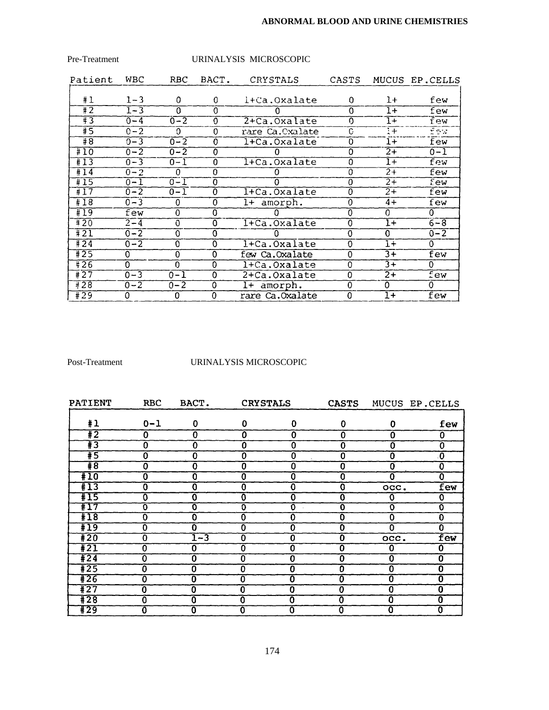## **ABNORMAL BLOOD AND URINE CHEMISTRIES**

| Pre-Treatment     |         |          |             | URINALYSIS MICROSCOPIC |                |                 |                |
|-------------------|---------|----------|-------------|------------------------|----------------|-----------------|----------------|
| Patient           | WBC     | RBC.     | BACT.       | CRYSTALS               | CASTS          |                 | MUCUS EP.CELLS |
| #1                | $1 - 3$ | 0        | $\Omega$    | l+Ca.Oxalate           | 0              | $1+$            | few            |
| #2                | $1 - 3$ | $\Omega$ | $\Omega$    |                        | 0              | $1+$            | few            |
| #3                | $0 - 4$ | $0 - 2$  | $\Omega$    | 2+Ca.Oxalate           | 0              | $1+$            | few            |
| #5                | $0 - 2$ | $\Omega$ | $\Omega$    | rare Ca.Oxalate        | C              | $\overline{1+}$ | few            |
| #8                | $0 - 3$ | $0 - 2$  | $\Omega$    | l+Ca.Oxalate           | 0              | $1+$            | few            |
| #10               | $0 - 2$ | $0 - 2$  | 0           |                        | $\Omega$       | $2+$            | $0 - 1$        |
| #13               | $0 - 3$ | $0 - 1$  | 0           | l+Ca.Oxalate           | $\Omega$       | $1+$            | few            |
| #14               | $0 - 2$ | $\Omega$ | $\Omega$    | O                      | $\overline{0}$ | $2+$            | few            |
| #15               | $0 - 1$ | $0 - 1$  | 0           | $\Omega$               | $\Omega$       | $2 +$           | few            |
| #17               | $0 - 2$ | $0 - 1$  | 0           | 1+Ca.Oxalate           | $\overline{0}$ | $\overline{2+}$ | few            |
| #18               | $0 - 3$ | 0        | 0           | 1+ amorph.             | $\Omega$       | $4+$            | few            |
| #19               | few     | $\Omega$ | 0           |                        | $\Omega$       | 0               | O.             |
| #20               | $2 - 4$ | $\Omega$ | 0           | 1+Ca.Oxalate           | $\Omega$       | $1+$            | $6 - 8$        |
| #21               | $0 - 2$ | 0        | 0           |                        | $\Omega$       | 0               | $0 - 2$        |
| #24               | $0 - 2$ | $\Omega$ | 0           | l+Ca.Oxalate           | $\Omega$       | $1+$            | 0              |
| #25               | 0       | 0        | $\mathbf 0$ | few Ca.Oxalate         | 0              | $3+$            | few            |
| $\frac{1}{4}$ 26  | 0       | $\Omega$ | $\Omega$    | 1+Ca.Oxalate           | $\Omega$       | $3+$            | 0              |
| $\overline{4}$ 27 | $0 - 3$ | $0 - 1$  | $\Omega$    | 2+Ca.Oxalate           | $\Omega$       | $\overline{2+}$ | few            |
| $\sqrt{428}$      | $0 - 2$ | $0 - 2$  | 0           | amorph.<br>$1+$        | $\Omega$       | $\Omega$        | 0              |
| #29               | 0       | 0        | 0           | rare Ca.Oxalate        | $\mathbf 0$    | $1+$            | few            |

# Post-Treatment URINALYSIS MICROSCOPIC

| PATIENT          | <b>RBC</b>                | BACT.          | <b>CRYSTALS</b> |                           | <b>CASTS</b>              |                | MUCUS EP.CELLS            |
|------------------|---------------------------|----------------|-----------------|---------------------------|---------------------------|----------------|---------------------------|
| #1               | $0 - 1$                   | 0              | 0               | 0                         | $\Omega$                  | 0              | few                       |
| $\overline{1}2$  | 0                         | 0              | 0               | 0                         | 0                         | 0              | 0                         |
| $\overline{13}$  | 0                         | 0              | 0               | 0                         | $\bf{0}$                  | 0              | 0                         |
| #5               | $\overline{0}$            | $\bf{0}$       | 0               | O                         | $\overline{0}$            | 0              | Ō                         |
| $\overline{18}$  | $\overline{0}$            | $\overline{0}$ | 0               | 0                         | $\overline{\mathbf{0}}$   | 0              | $\overline{0}$            |
| #10              | $\overline{\mathfrak{o}}$ | 0              | 0               | ō                         | 0                         | Ω              | $\mathbf 0$               |
| #13              | 0                         | 0              | 0               | $\overline{\mathbf{0}}$   | O                         | occ.           | few                       |
| #15              | $\overline{0}$            | 0              | 0               | $\overline{\text{o}}$     | $\bf{0}$                  | 0              | 0                         |
| #17              | $\overline{\mathbf{0}}$   | $\mathbf 0$    | $\mathbf 0$     | $\overline{\mathbf{0}}$   | Ō                         | $\overline{O}$ | $\overline{0}$            |
| #18              | $\overline{0}$            | $\overline{0}$ | 0               | $\overline{\mathfrak{o}}$ | $\overline{0}$            | $\Omega$       | $\overline{\mathbf{0}}$   |
| #19              | 0                         | 0              | 0               | $\overline{\mathbf{0}}$   | 0                         | 0              | $\overline{0}$            |
| $\overline{120}$ | Ō                         | 1-3            | $\Omega$        | $\overline{\mathbf{0}}$   | 0                         | occ.           | few                       |
| $\overline{121}$ | $\overline{\mathbf{0}}$   | 0              | 0               | ō                         | $\overline{\mathfrak{o}}$ | 0              | 0                         |
| #24              | Ō                         | 0              | 0               | $\overline{\mathfrak{o}}$ | Ō                         | 0              | $\overline{\mathbf{0}}$   |
| $\overline{425}$ | Ō                         | 0              | 0               | Ō                         | Ō                         | 0              | $\overline{\mathbf{0}}$   |
| #26              | ō                         | 0              | 0               | 0                         | Ō                         | O.             | $\overline{\mathfrak{o}}$ |
| $\overline{1}27$ | ō                         | 0              | 0               | Ō                         | 0                         | 0              | $\overline{\mathbf{0}}$   |
| #28              | $\overline{\mathbf{0}}$   | Ō              | Ω               | $\overline{\mathbf{0}}$   | $\overline{0}$            | Ω              | $\overline{\mathbf{0}}$   |
| #29              | Ō                         | 0              | 0               | 0                         | 0                         |                | 0                         |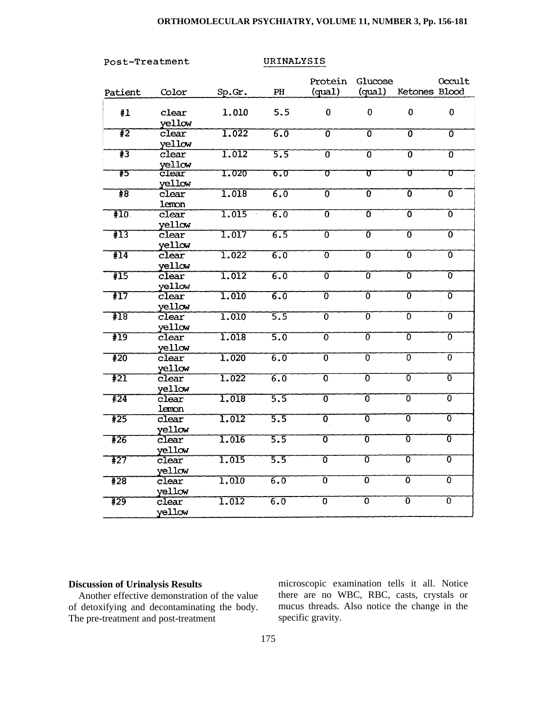### **ORTHOMOLECULAR PSYCHIATRY, VOLUME 11, NUMBER 3, Pp. 156-181**

Post-Treatment

URINALYSIS

| Patient          | Color                                | Sp.Gr.             | $\mathbf{PH}$    | Protein<br>(quad)         | Glucose<br>(quad)         | Ketones Blood             | Occult                    |
|------------------|--------------------------------------|--------------------|------------------|---------------------------|---------------------------|---------------------------|---------------------------|
| #1               | clear<br>yellow                      | 1.010              | 5.5              | 0                         | 0                         | $\mathbf 0$               | $\mathbf 0$               |
| $\overline{12}$  | $\overline{\text{clear}}$<br>yellow  | 1.022              | <u>ត.ត</u>       | 0                         | ᠊ᢆ                        | 70                        | Ō                         |
| #3               | clear<br>yellow                      | 1,012              | 5.5              | $\overline{0}$            | Ō                         | ō                         | ᠊ᢅ                        |
| 75               | clear<br>yellow                      | 1.020              | 6.0              | $\overline{\sigma}$       | $\overline{\sigma}$       | ᠊᠊ᠣ                       | ᠊ᡉ                        |
| $\overline{18}$  | clear<br>lemon                       | 1.018              | $\overline{6.0}$ | $\overline{\mathfrak{o}}$ | $\overline{0}$            | $\overline{\mathfrak{o}}$ | $\overline{\mathfrak{o}}$ |
| #10              | $\overline{\text{clear}}$<br>yellow  | 1.015              | $\overline{6.0}$ | $\overline{\mathfrak{o}}$ | ᠊ᢐ                        | 0                         | $\overline{\mathfrak{o}}$ |
| #13              | clear<br>yellow                      | 1.017              | 6.5              | 0                         | $\overline{\mathfrak{o}}$ | $\overline{\mathfrak{o}}$ | $\overline{\mathfrak{0}}$ |
| #14              | clear<br>yellow                      | 1.022              | $\overline{6.0}$ | $\overline{\mathfrak{o}}$ | 0                         | ᠊ᢐ                        | $\overline{\mathfrak{o}}$ |
| #15              | clear<br>yellow                      | 1.012              | $\overline{6.0}$ | $\overline{\mathfrak{o}}$ | $\overline{\mathfrak{o}}$ | $\overline{\mathfrak{0}}$ | $\overline{\mathfrak{o}}$ |
| $\overline{117}$ | $\overline{\text{clear}}$<br>yellow  | $\overline{1.010}$ | $\overline{6.0}$ | $\overline{\mathfrak{o}}$ | 0                         | 0                         | 0                         |
| #18              | $\widetilde{\text{clear}}$<br>yellow | 1.010              | 5.5              | 0                         | $\overline{0}$            | 0                         | $\overline{\mathfrak{o}}$ |
| #19              | $c$ lear<br>yellow                   | 1.018              | $\overline{5.0}$ | $\overline{0}$            | $\overline{\mathfrak{o}}$ | $\overline{\mathfrak{o}}$ | $\overline{\mathfrak{o}}$ |
| #20              | $\overline{\text{clear}}$<br>yellow  | 1.020              | $\overline{6.0}$ | $\overline{0}$            | 0                         | $\overline{0}$            | $\overline{0}$            |
| #21              | $\widetilde{\text{clear}}$<br>yellow | 1.022              | $\overline{6.0}$ | ᢐ                         | $\overline{\mathfrak{o}}$ | 0                         | 0                         |
| #24              | clear<br>lemon                       | 1.018              | 5.5              | $\overline{\mathfrak{o}}$ | 0                         | $\overline{\mathfrak{o}}$ | 0                         |
| #25              | $\widetilde{\text{clear}}$<br>yellow | 1.012              | $\overline{5.5}$ | $\overline{\mathfrak{o}}$ | $\overline{\mathfrak{o}}$ | $\overline{\mathfrak{o}}$ | $\overline{\mathfrak{o}}$ |
| #26              | $\widetilde{\text{clear}}$<br>yellow | 1.016              | 5.5              | $\overline{\mathfrak{o}}$ | $\overline{\mathfrak{o}}$ | $\overline{0}$            | $\overline{0}$            |
| #27              | $\overline{\text{clear}}$<br>vellow  | 1.015              | 5.5              | 0                         | ᠊ᢆ                        | ᠊ᢆᢐ                       | $\overline{\mathfrak{0}}$ |
| #28              | $\overline{\text{clear}}$<br>yellow  | 1.010              | $\overline{6.0}$ | $\overline{\mathfrak{o}}$ | $\overline{\mathfrak{o}}$ | $\overline{0}$            | $\overline{\mathfrak{o}}$ |
| #29              | clear<br>yellow                      | 1.012              | 6.0              | $\overline{\mathfrak{o}}$ | $\overline{\mathfrak{o}}$ | $\overline{\mathfrak{o}}$ | $\overline{\mathfrak{o}}$ |

### **Discussion of Urinalysis Results**

Another effective demonstration of the value of detoxifying and decontaminating the body. The pre-treatment and post-treatment

microscopic examination tells it all. Notice there are no WBC, RBC, casts, crystals or mucus threads. Also notice the change in the specific gravity.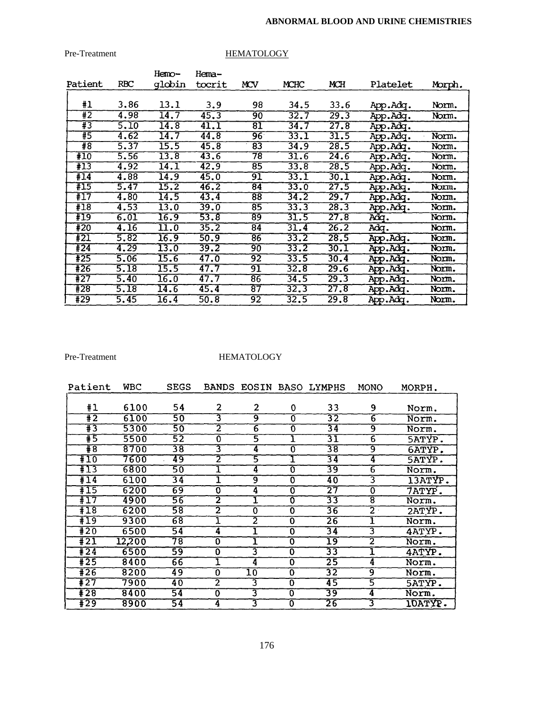### **ABNORMAL BLOOD AND URINE CHEMISTRIES**

# Pre-Treatment HEMATOLOGY

| Patient | <b>RBC</b> | Hemo-<br>qlobin   | Hema-<br>tocrit | MCV             | MCHC | MCH  | Platelet | Morph. |
|---------|------------|-------------------|-----------------|-----------------|------|------|----------|--------|
| #1      | 3.86       | 13.1              | 3.9             | 98              | 34.5 | 33.6 | App.Adq. | Norm.  |
| Ŧ2      | 4.98       | $\overline{14.7}$ | 45.3            | 90              | 32.7 | 29.3 | App.Adq. | Norm.  |
| #3      | 5.10       | 14.8              | 41.1            | 81              | 34.7 | 27.8 | App.Adq. |        |
| #5      | 4.62       | 14.7              | 44.8            | $\overline{96}$ | 33.1 | 31.5 | App.Adq. | Norm.  |
| #8      | 5.37       | 15.5              | 45.8            | 83              | 34.9 | 28.5 | App.Adq. | Norm.  |
| #10     | 5.56       | $\overline{13.8}$ | 43.6            | 78              | 31.6 | 24.6 | App.Adq. | Norm.  |
| #13     | 4.92       | $\overline{14.1}$ | 42.9            | 85              | 33.8 | 28.5 | App.Adq. | Norm.  |
| #14     | 4.88       | 14.9              | 45.0            | 91              | 33.1 | 30.1 | App.Adq. | Norm.  |
| #15     | 5.47       | 15.2              | 46.2            | 84              | 33.0 | 27.5 | App.Adq. | Norm.  |
| #17     | 4.80       | 14.5              | 43.4            | 88              | 34.2 | 29.7 | App.Adq. | Norm.  |
| #18     | 4.53       | 13.0              | 39.0            | 85              | 33.3 | 28.3 | App.Adq. | Norm.  |
| #19     | 6.01       | $\overline{16.9}$ | 53.8            | 89              | 31.5 | 27.8 | Adq.     | Norm.  |
| #20     | 4.16       | $\overline{11.0}$ | 35.2            | 84              | 31.4 | 26.2 | Adq.     | Norm.  |
| #21     | 5.82       | 16.9              | 50.9            | 86              | 33.2 | 28.5 | App.Adq. | Norm.  |
| #24     | 4.29       | 13.0              | 39.2            | 90              | 33.2 | 30.I | App.Adg. | Norm.  |
| #25     | 5.06       | 15.6              | 47.0            | 92              | 33.5 | 30.4 | App.Adq. | Norm.  |
| #26     | 5.18       | 15.5              | 47.7            | 91              | 32.8 | 29.6 | App.Adq. | Norm.  |
| #27     | 5.40       | 16.0              | 47.7            | 86              | 34.5 | 29.3 | App.Adq. | Norm.  |
| #28     | 5.18       | 14.6              | 45.4            | $\overline{87}$ | 32.3 | 27.8 | App.Adq. | Norm.  |
| #29     | 5.45       | 16.4              | 50.8            | $\overline{92}$ | 32.5 | 29.8 | App.Adq. | Norm.  |

# Pre-Treatment HEMATOLOGY

| Patient                    | <b>WBC</b> | <b>SEGS</b>     | <b>BANDS</b>   | EOSIN           |                | <b>BASO LYMPHS</b> | MONO           | MORPH.         |
|----------------------------|------------|-----------------|----------------|-----------------|----------------|--------------------|----------------|----------------|
| #1                         | 6100       | 54              | 2              | 2               | $\mathbf 0$    | 33                 | 9              |                |
|                            |            |                 |                |                 |                |                    |                | Norm.          |
| $\overline{1\overline{2}}$ | 6100       | 50              | 3              | 9               | $\Omega$       | 32                 | $\overline{6}$ | Norm.          |
| #3                         | 5300       | 50              | 2              | 6               | 0              | 34                 | 9              | Norm.          |
| #5                         | 5500       | 52              | Ō              | 5               |                | 31                 | 6              | <b>5ATYP.</b>  |
| $\overline{18}$            | 8700       | 38              | 3              | 4               | Ō              | 38                 | ॺ              | 6ATYP.         |
| #10                        | 7600       | 49              | 2              | 5               |                | 34                 | 4              | <b>SATYP.</b>  |
| #13                        | 6800       | 50              |                | 4               | $\overline{0}$ | 39                 | 6              | Norm.          |
| #14                        | 6100       | $\overline{34}$ |                | 9               | 0              | 40                 | 3              | 13ATYP.        |
| #15                        | 6200       | 69              | 0              | 4               | $\bf{0}$       | 27                 | O              | 7ATYP.         |
| #17                        | 4900       | 56              | 2              | ĭ               | Ō              | 33                 | 8              | Norm.          |
| $+18$                      | 6200       | 58              | 2              | Ō               | 0              | 36                 | $\overline{2}$ | 2ATYP.         |
| $+19$                      | 9300       | $\overline{68}$ | ⊥              | 2               | 0              | $\overline{26}$    |                | Norm.          |
| #20                        | 6500       | $\overline{54}$ | 4              |                 | 0              | 34                 | 3              | 4ATYP.         |
| #21                        | 12,200     | 78              | 0              |                 | 0              | 19                 | 2              | Norm.          |
| $+24$                      | 6500       | 59              | $\mathbf 0$    | 3               | $\Omega$       | 33                 | ī              | 4ATYP.         |
| $+25$                      | 8400       | $\overline{66}$ |                | 4               | 0              | 25                 | 4              | Norm.          |
| $\overline{426}$           | 8200       | 49              | 0              | $\overline{10}$ | Ō              | $\overline{32}$    | ब्र            | Norm.          |
| $\overline{4}$ 27          | 7900       | 40              | $\overline{2}$ | 3               | 0              | 45                 | 5              | <b>SATYP.</b>  |
| $+28$                      | 8400       | $\overline{54}$ | 0              | 3               | 0              | 39                 | 4              | Norm.          |
| $\overline{1}29$           | 8900       | $\overline{54}$ | 4              | 3               | $\overline{0}$ | 26                 | 3              | <b>IOATYP.</b> |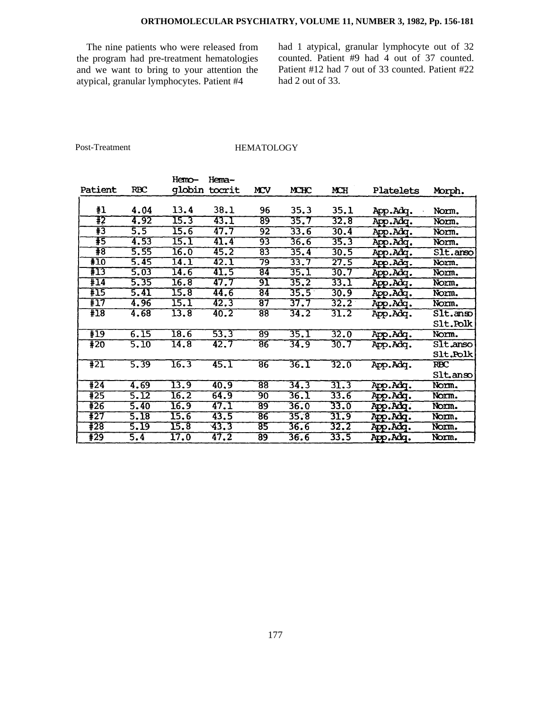# **ORTHOMOLECULAR PSYCHIATRY, VOLUME 11, NUMBER 3, 1982, Pp. 156-181**

The nine patients who were released from the program had pre-treatment hematologies and we want to bring to your attention the atypical, granular lymphocytes. Patient #4

had 1 atypical, granular lymphocyte out of 32 counted. Patient #9 had 4 out of 37 counted. Patient #12 had 7 out of 33 counted. Patient #22 had 2 out of 33.

Post-Treatment

### **HEMATOLOGY**

|                  |            | Hemo-             | Hema-  |                 |      |      |           |                                    |
|------------------|------------|-------------------|--------|-----------------|------|------|-----------|------------------------------------|
| Patient          | <b>RBC</b> | qlobin            | tocrit | MCV             | MCHC | MCH  | Platelets | Morph.                             |
|                  |            |                   |        |                 |      |      |           |                                    |
| #1               | 4.04       | 13.4              | 38.1   | 96              | 35.3 | 35.1 | App.Adq.  | Norm.                              |
| Ŧ2               | 4.92       | 15.3              | 43.I   | 89              | 35.7 | 32.8 | App.Adq.  | Norm.                              |
| $\overline{13}$  | 5.5        | 15.6              | 47.7   | $\overline{92}$ | 33.6 | 30.4 | App.Adq.  | Norm.                              |
| #5               | 4.53       | <u>15.1</u>       | 41.4   | 93              | 36.6 | 35.3 | App.Adq.  | Norm.                              |
| #8               | 5.55       | $\overline{16.0}$ | 45.2   | $\overline{83}$ | 35.4 | 30.5 | App.Adq.  | Slt.anso                           |
| #10              | 5.45       | 14.1              | 42.1   | 79              | 33.7 | 27.5 | App.Adq.  | Norm.                              |
| FI3              | 5.03       | 14.6              | 41.5   | 84              | 35.1 | 30.7 | App.Adq.  | Norm.                              |
| #14              | 5.35       | 16.8              | 47.7   | 91              | 35.2 | 33.I | App.Adq.  | Norm.                              |
| #15              | 5.41       | 15.8              | 44.6   | $\overline{84}$ | 35.5 | 30.9 | App.Adq.  | Norm.                              |
| #17              | 4.96       | 15.1              | 42.3   | 87              | 37.7 | 32.2 | App.Adq.  | Norm.                              |
| #18              | 4.68       | 13.8              | 40.2   | $\overline{88}$ | 34.2 | 31.2 | App.Adq.  | $\overline{\text{S1t}}.\text{ans}$ |
|                  |            |                   |        |                 |      |      |           | Slt.Polk                           |
| #19              | 6.15       | 18.6              | 53.3   | $\overline{89}$ | 35.1 | 32.0 | App.Adq.  | Norm.                              |
| #20              | 5.10       | $\overline{14.8}$ | 42.7   | 86              | 34.9 | 30.7 | App.Adq.  | SIt.anso                           |
|                  |            |                   |        |                 |      |      |           | <b>Slt.Polk</b>                    |
| $\overline{421}$ | 5.39       | 16.3              | 45.1   | $\overline{86}$ | 36.1 | 32.0 | App.Adq.  | <b>RBC</b>                         |
|                  |            |                   |        |                 |      |      |           | Slt.anso                           |
| $\sqrt{424}$     | 4.69       | 13.9              | 40.9   | $\overline{88}$ | 34.3 | 31.3 | App.Adq.  | Norm.                              |
| #25              | 5.12       | 16.2              | 64.9   | 90              | 36.I | 33.6 | App.Adq.  | Norm.                              |
| #26              | 5.40       | 16.9              | 47.1   | 89              | 36.0 | 33.0 | App.Adq.  | Norm.                              |
| #27              | 5.18       | 15.6              | 43.5   | $\overline{86}$ | 35.8 | 31.9 | App.Adq.  | Norm.                              |
| #28              | 5.19       | 15.8              | 43.3   | 85              | 36.6 | 32.2 | App.Adg.  | Norm.                              |
| #29              | 5.4        | 17.0              | 47.2   | 89              | 36.6 | 33.5 | App.Adq.  | Norm.                              |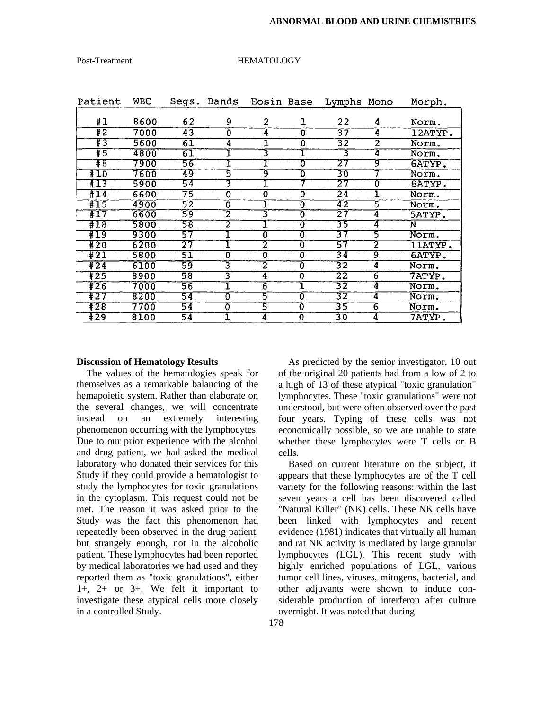| Patient          | <b>WBC</b> |                 | Segs. Bands               | Eosin Base              |                           | Lymphs Mono     |                         | Morph.        |
|------------------|------------|-----------------|---------------------------|-------------------------|---------------------------|-----------------|-------------------------|---------------|
|                  |            |                 |                           |                         |                           |                 |                         |               |
| #1               | 8600       | 62              | 9                         | 2                       | ı                         | 22              | 4                       | Norm.         |
| $\overline{1}$   | 7000       | 43              | $\Omega$                  | 4                       | 0                         | 37              | $\overline{\mathbf{4}}$ | $12ATYP$ .    |
| $\overline{1}$   | 5600       | 61              | $\overline{4}$            |                         | 0                         | 32              | 2                       | Norm.         |
| #5               | 4800       | 61              |                           | 3                       | ┸                         | 3               | 4                       | Norm.         |
| #8               | 7900       | 56              |                           | 1                       | $\overline{\mathfrak{o}}$ | 27              | 9                       | <b>6ATYP.</b> |
| #10              | 7600       | 49              | 5                         | 9                       | 0                         | 30              |                         | Norm.         |
| #13              | 5900       | 54              | 3                         |                         |                           | 27              | 0                       | 8ATYP.        |
| $+14$            | 6600       | $\overline{75}$ | $\overline{\mathfrak{o}}$ | 0                       | 0                         | $\overline{24}$ |                         | Norm.         |
| #15              | 4900       | $\overline{52}$ | $\overline{\mathfrak{o}}$ |                         | $\overline{0}$            | 42              | 3                       | Norm.         |
| $\overline{117}$ | 6600       | 59              | 2                         | 3                       | $\overline{\mathfrak{o}}$ | 27              | 4                       | <b>5ATYP.</b> |
| #18              | 5800       | 58              | 2                         |                         | Ō                         | 35              | 4                       | N             |
| #19              | 9300       | 57              |                           | $\overline{0}$          | 0                         | 37              | 5                       | Norm.         |
| $\overline{420}$ | 6200       | 27              |                           | 2                       | ō                         | 57              | 2                       | 11ATYP.       |
| #21              | 5800       | 51              | $\overline{0}$            | $\overline{0}$          | Ō                         | 34              | 9                       | 6ATYP.        |
| #24              | 6100       | 59              | 3                         | $\overline{\mathbf{2}}$ | 0                         | $\overline{32}$ | $\overline{4}$          | Norm.         |
| $+25$            | 8900       | 58              | 3                         | 4                       | $\overline{0}$            | 22              | $6 \,$                  | 7ATYP.        |
| $\overline{126}$ | 7000       | 56              | ı                         | $\overline{6}$          | ı                         | 32              | $\overline{4}$          | Norm.         |
| #27              | 8200       | 54              | $\overline{0}$            | 5                       | 0                         | 32              | 4                       | Norm.         |
| #28              | 7700       | $\overline{54}$ | 0                         | 5                       | 0                         | 35              | $\overline{6}$          | Norm.         |
| #29              | 8100       | 54              |                           | 4                       | 0                         | $\overline{30}$ | 4                       | 7ATYP.        |

#### Post-Treatment HEMATOLOGY

#### **Discussion of Hematology Results**

The values of the hematologies speak for themselves as a remarkable balancing of the hemapoietic system. Rather than elaborate on the several changes, we will concentrate instead on an extremely interesting phenomenon occurring with the lymphocytes. Due to our prior experience with the alcohol and drug patient, we had asked the medical laboratory who donated their services for this Study if they could provide a hematologist to study the lymphocytes for toxic granulations in the cytoplasm. This request could not be met. The reason it was asked prior to the Study was the fact this phenomenon had repeatedly been observed in the drug patient, but strangely enough, not in the alcoholic patient. These lymphocytes had been reported by medical laboratories we had used and they reported them as "toxic granulations", either 1+, 2+ or 3+. We felt it important to investigate these atypical cells more closely in a controlled Study.

As predicted by the senior investigator, 10 out of the original 20 patients had from a low of 2 to a high of 13 of these atypical "toxic granulation" lymphocytes. These "toxic granulations" were not understood, but were often observed over the past four years. Typing of these cells was not economically possible, so we are unable to state whether these lymphocytes were T cells or B cells.

Based on current literature on the subject, it appears that these lymphocytes are of the T cell variety for the following reasons: within the last seven years a cell has been discovered called "Natural Killer" (NK) cells. These NK cells have been linked with lymphocytes and recent evidence (1981) indicates that virtually all human and rat NK activity is mediated by large granular lymphocytes (LGL). This recent study with highly enriched populations of LGL, various tumor cell lines, viruses, mitogens, bacterial, and other adjuvants were shown to induce considerable production of interferon after culture overnight. It was noted that during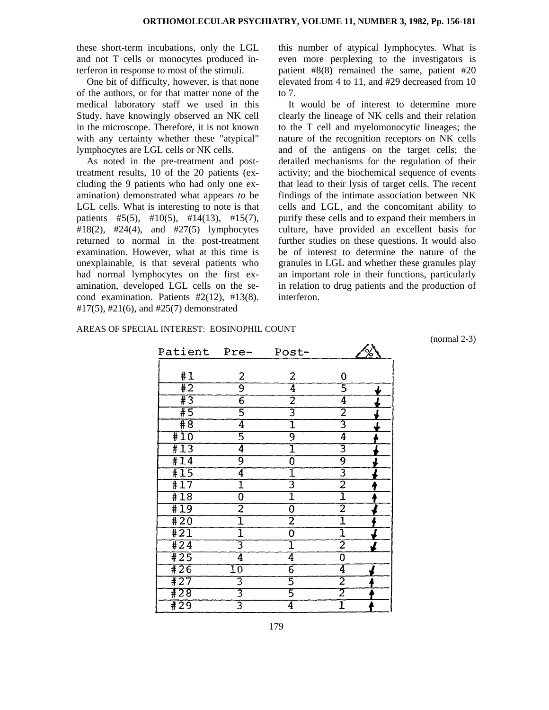these short-term incubations, only the LGL and not T cells or monocytes produced interferon in response to most of the stimuli.

One bit of difficulty, however, is that none of the authors, or for that matter none of the medical laboratory staff we used in this Study, have knowingly observed an NK cell in the microscope. Therefore, it is not known with any certainty whether these "atypical" lymphocytes are LGL cells or NK cells.

As noted in the pre-treatment and posttreatment results, 10 of the 20 patients (excluding the 9 patients who had only one examination) demonstrated what appears *to* be LGL cells. What is interesting to note is that patients  $#5(5)$ ,  $#10(5)$ ,  $#14(13)$ ,  $#15(7)$ , #18(2), #24(4), and #27(5) lymphocytes returned to normal in the post-treatment examination. However, what at this time is unexplainable, is that several patients who had normal lymphocytes on the first examination, developed LGL cells on the second examination. Patients  $#2(12)$ ,  $#13(8)$ . #17(5), #21(6), and #25(7) demonstrated

this number of atypical lymphocytes. What is even more perplexing to the investigators is patient #8(8) remained the same, patient #20 elevated from 4 to 11, and #29 decreased from 10 to 7.

It would be of interest to determine more clearly the lineage of NK cells and their relation to the T cell and myelomonocytic lineages; the nature of the recognition receptors on NK cells and of the antigens on the target cells; the detailed mechanisms for the regulation of their activity; and the biochemical sequence of events that lead to their lysis of target cells. The recent findings of the intimate association between NK cells and LGL, and the concomitant ability to purify these cells and to expand their members in culture, have provided an excellent basis for further studies on these questions. It would also be of interest to determine the nature of the granules in LGL and whether these granules play an important role in their functions, particularly in relation to drug patients and the production of interferon.

s.

#### AREAS OF SPECIAL INTEREST: EOSINOPHIL COUNT

(normal 2-3)

| Patient Pre-               |                 | Post-          |                | ℅ |
|----------------------------|-----------------|----------------|----------------|---|
|                            |                 |                |                |   |
| #1                         | 2               | 2              | 0              |   |
| #2                         | $\overline{9}$  | 4              | 5              |   |
| $\overline{\overline{43}}$ | $\overline{6}$  | $\overline{2}$ | $\overline{4}$ |   |
| $\overline{+5}$            | $\overline{5}$  | 3              | $\overline{2}$ |   |
| $\overline{48}$            | $\overline{4}$  | ī              | 3              |   |
| #10                        | $\overline{5}$  | $\overline{9}$ | $\overline{4}$ |   |
| #13                        | $\overline{4}$  | ī              | 3              |   |
| #14                        | 9               | $\overline{0}$ | 9              |   |
| #15                        | $\vec{4}$       | I              | $\overline{3}$ |   |
| #17                        | ī               | 3              | $\overline{2}$ |   |
| #18                        | $\overline{0}$  | ī              | I              |   |
| #19                        | $\overline{2}$  | $\overline{0}$ | $\overline{2}$ |   |
| $\overline{120}$           | $\overline{1}$  | $\overline{2}$ | ī              |   |
| $\overline{121}$           | $\overline{1}$  | $\overline{0}$ | $\overline{1}$ |   |
| $\sqrt{424}$               | $\overline{3}$  | ī              | $\overline{2}$ |   |
| #25                        | $\overline{4}$  | $\overline{4}$ | $\overline{0}$ |   |
| #26                        | $\overline{10}$ | $\overline{6}$ | 4              |   |
| #27                        | 3               | 5              | $\overline{2}$ |   |
| #28                        | $\overline{3}$  | 5              | $\overline{2}$ |   |
| #29                        | $\overline{3}$  | 4              | ı              |   |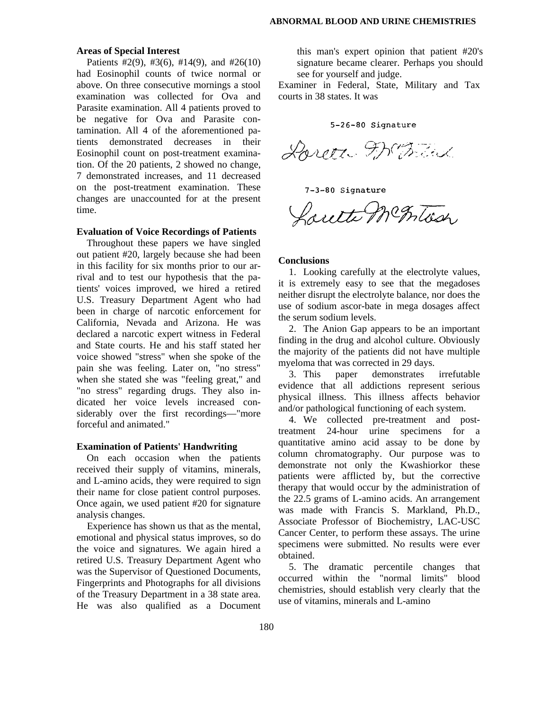#### **Areas of Special Interest**

Patients  $\#2(9)$ ,  $\#3(6)$ ,  $\#14(9)$ , and  $\#26(10)$ had Eosinophil counts of twice normal or above. On three consecutive mornings a stool examination was collected for Ova and Parasite examination. All 4 patients proved to be negative for Ova and Parasite contamination. All 4 of the aforementioned patients demonstrated decreases in their Eosinophil count on post-treatment examination. Of the 20 patients, 2 showed no change, 7 demonstrated increases, and 11 decreased on the post-treatment examination. These changes are unaccounted for at the present time.

#### **Evaluation of Voice Recordings of Patients**

Throughout these papers we have singled out patient #20, largely because she had been in this facility for six months prior to our arrival and to test our hypothesis that the patients' voices improved, we hired a retired U.S. Treasury Department Agent who had been in charge of narcotic enforcement for California, Nevada and Arizona. He was declared a narcotic expert witness in Federal and State courts. He and his staff stated her voice showed "stress" when she spoke of the pain she was feeling. Later on, "no stress" when she stated she was "feeling great," and "no stress" regarding drugs. They also indicated her voice levels increased considerably over the first recordings—"more forceful and animated."

#### **Examination of Patients' Handwriting**

On each occasion when the patients received their supply of vitamins, minerals, and L-amino acids, they were required to sign their name for close patient control purposes. Once again, we used patient #20 for signature analysis changes.

Experience has shown us that as the mental, emotional and physical status improves, so do the voice and signatures. We again hired a retired U.S. Treasury Department Agent who was the Supervisor of Questioned Documents, Fingerprints and Photographs for all divisions of the Treasury Department in a 38 state area. He was also qualified as a Document

this man's expert opinion that patient #20's signature became clearer. Perhaps you should see for yourself and judge.

Examiner in Federal, State, Military and Tax courts in 38 states. It was

5-26-80 Signature

Doreen Frank

7-3-80 Signature

Saute Mc Inters

#### **Conclusions**

1. Looking carefully at the electrolyte values, it is extremely easy to see that the megadoses neither disrupt the electrolyte balance, nor does the use of sodium ascor-bate in mega dosages affect the serum sodium levels.

2. The Anion Gap appears to be an important finding in the drug and alcohol culture. Obviously the majority of the patients did not have multiple myeloma that was corrected in 29 days.

3. This paper demonstrates irrefutable evidence that all addictions represent serious physical illness. This illness affects behavior and/or pathological functioning of each system.

4. We collected pre-treatment and posttreatment 24-hour urine specimens for a quantitative amino acid assay to be done by column chromatography. Our purpose was to demonstrate not only the Kwashiorkor these patients were afflicted by, but the corrective therapy that would occur by the administration of the 22.5 grams of L-amino acids. An arrangement was made with Francis S. Markland, Ph.D., Associate Professor of Biochemistry, LAC-USC Cancer Center, to perform these assays. The urine specimens were submitted. No results were ever obtained.

5. The dramatic percentile changes that occurred within the "normal limits" blood chemistries, should establish very clearly that the use of vitamins, minerals and L-amino